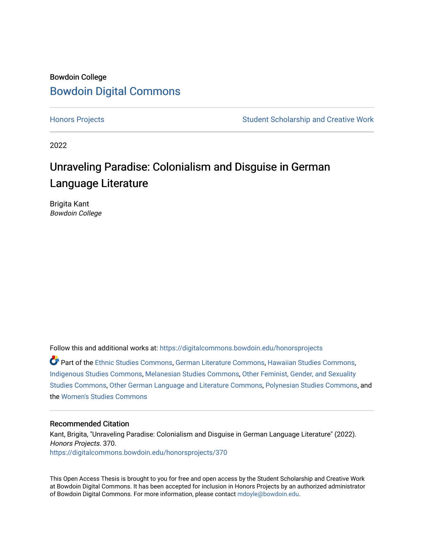## Bowdoin College [Bowdoin Digital Commons](https://digitalcommons.bowdoin.edu/)

[Honors Projects](https://digitalcommons.bowdoin.edu/honorsprojects) **Student Scholarship and Creative Work** Student Scholarship and Creative Work

2022

# Unraveling Paradise: Colonialism and Disguise in German Language Literature

Brigita Kant Bowdoin College

Follow this and additional works at: [https://digitalcommons.bowdoin.edu/honorsprojects](https://digitalcommons.bowdoin.edu/honorsprojects?utm_source=digitalcommons.bowdoin.edu%2Fhonorsprojects%2F370&utm_medium=PDF&utm_campaign=PDFCoverPages)

Part of the [Ethnic Studies Commons](https://network.bepress.com/hgg/discipline/570?utm_source=digitalcommons.bowdoin.edu%2Fhonorsprojects%2F370&utm_medium=PDF&utm_campaign=PDFCoverPages), [German Literature Commons](https://network.bepress.com/hgg/discipline/469?utm_source=digitalcommons.bowdoin.edu%2Fhonorsprojects%2F370&utm_medium=PDF&utm_campaign=PDFCoverPages), [Hawaiian Studies Commons](https://network.bepress.com/hgg/discipline/1322?utm_source=digitalcommons.bowdoin.edu%2Fhonorsprojects%2F370&utm_medium=PDF&utm_campaign=PDFCoverPages), [Indigenous Studies Commons](https://network.bepress.com/hgg/discipline/571?utm_source=digitalcommons.bowdoin.edu%2Fhonorsprojects%2F370&utm_medium=PDF&utm_campaign=PDFCoverPages), [Melanesian Studies Commons](https://network.bepress.com/hgg/discipline/1323?utm_source=digitalcommons.bowdoin.edu%2Fhonorsprojects%2F370&utm_medium=PDF&utm_campaign=PDFCoverPages), [Other Feminist, Gender, and Sexuality](https://network.bepress.com/hgg/discipline/562?utm_source=digitalcommons.bowdoin.edu%2Fhonorsprojects%2F370&utm_medium=PDF&utm_campaign=PDFCoverPages) [Studies Commons,](https://network.bepress.com/hgg/discipline/562?utm_source=digitalcommons.bowdoin.edu%2Fhonorsprojects%2F370&utm_medium=PDF&utm_campaign=PDFCoverPages) [Other German Language and Literature Commons](https://network.bepress.com/hgg/discipline/470?utm_source=digitalcommons.bowdoin.edu%2Fhonorsprojects%2F370&utm_medium=PDF&utm_campaign=PDFCoverPages), [Polynesian Studies Commons](https://network.bepress.com/hgg/discipline/1325?utm_source=digitalcommons.bowdoin.edu%2Fhonorsprojects%2F370&utm_medium=PDF&utm_campaign=PDFCoverPages), and the [Women's Studies Commons](https://network.bepress.com/hgg/discipline/561?utm_source=digitalcommons.bowdoin.edu%2Fhonorsprojects%2F370&utm_medium=PDF&utm_campaign=PDFCoverPages) 

#### Recommended Citation

Kant, Brigita, "Unraveling Paradise: Colonialism and Disguise in German Language Literature" (2022). Honors Projects. 370. [https://digitalcommons.bowdoin.edu/honorsprojects/370](https://digitalcommons.bowdoin.edu/honorsprojects/370?utm_source=digitalcommons.bowdoin.edu%2Fhonorsprojects%2F370&utm_medium=PDF&utm_campaign=PDFCoverPages)

This Open Access Thesis is brought to you for free and open access by the Student Scholarship and Creative Work at Bowdoin Digital Commons. It has been accepted for inclusion in Honors Projects by an authorized administrator of Bowdoin Digital Commons. For more information, please contact [mdoyle@bowdoin.edu.](mailto:mdoyle@bowdoin.edu)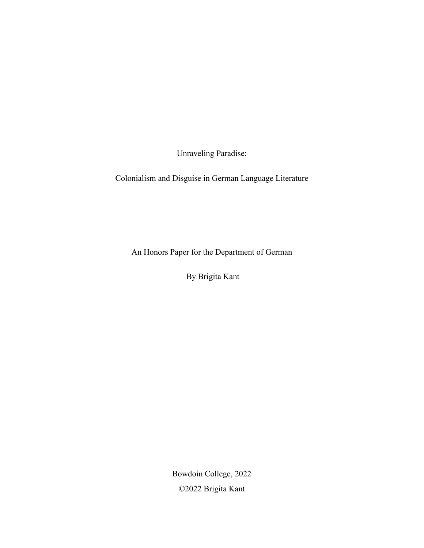Unraveling Paradise:

Colonialism and Disguise in German Language Literature

An Honors Paper for the Department of German

By Brigita Kant

Bowdoin College, 2022 ©2022 Brigita Kant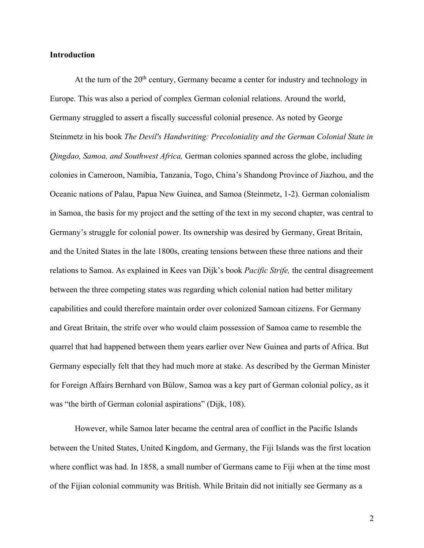#### **Introduction**

At the turn of the  $20<sup>th</sup>$  century, Germany became a center for industry and technology in Europe. This was also a period of complex German colonial relations. Around the world, Germany struggled to assert a fiscally successful colonial presence. As noted by George Steinmetz in his book *The Devil's Handwriting: Precoloniality and the German Colonial State in Qingdao, Samoa, and Southwest Africa,* German colonies spanned across the globe, including colonies in Cameroon, Namibia, Tanzania, Togo, China's Shandong Province of Jiazhou, and the Oceanic nations of Palau, Papua New Guinea, and Samoa (Steinmetz, 1-2). German colonialism in Samoa, the basis for my project and the setting of the text in my second chapter, was central to Germany's struggle for colonial power. Its ownership was desired by Germany, Great Britain, and the United States in the late 1800s, creating tensions between these three nations and their relations to Samoa. As explained in Kees van Dijk's book *Pacific Strife,* the central disagreement between the three competing states was regarding which colonial nation had better military capabilities and could therefore maintain order over colonized Samoan citizens. For Germany and Great Britain, the strife over who would claim possession of Samoa came to resemble the quarrel that had happened between them years earlier over New Guinea and parts of Africa. But Germany especially felt that they had much more at stake. As described by the German Minister for Foreign Affairs Bernhard von Bülow, Samoa was a key part of German colonial policy, as it was "the birth of German colonial aspirations" (Dijk, 108).

However, while Samoa later became the central area of conflict in the Pacific Islands between the United States, United Kingdom, and Germany, the Fiji Islands was the first location where conflict was had. In 1858, a small number of Germans came to Fiji when at the time most of the Fijian colonial community was British. While Britain did not initially see Germany as a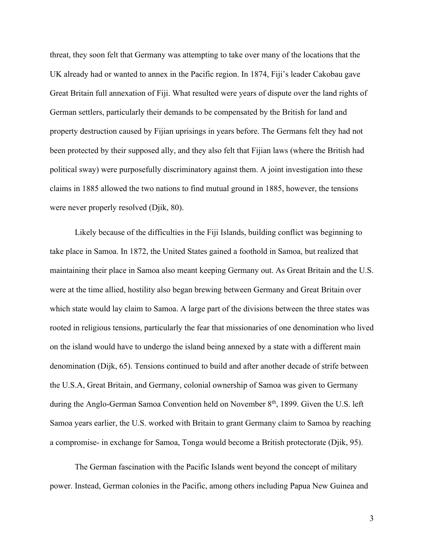threat, they soon felt that Germany was attempting to take over many of the locations that the UK already had or wanted to annex in the Pacific region. In 1874, Fiji's leader Cakobau gave Great Britain full annexation of Fiji. What resulted were years of dispute over the land rights of German settlers, particularly their demands to be compensated by the British for land and property destruction caused by Fijian uprisings in years before. The Germans felt they had not been protected by their supposed ally, and they also felt that Fijian laws (where the British had political sway) were purposefully discriminatory against them. A joint investigation into these claims in 1885 allowed the two nations to find mutual ground in 1885, however, the tensions were never properly resolved (Djik, 80).

Likely because of the difficulties in the Fiji Islands, building conflict was beginning to take place in Samoa. In 1872, the United States gained a foothold in Samoa, but realized that maintaining their place in Samoa also meant keeping Germany out. As Great Britain and the U.S. were at the time allied, hostility also began brewing between Germany and Great Britain over which state would lay claim to Samoa. A large part of the divisions between the three states was rooted in religious tensions, particularly the fear that missionaries of one denomination who lived on the island would have to undergo the island being annexed by a state with a different main denomination (Dijk, 65). Tensions continued to build and after another decade of strife between the U.S.A, Great Britain, and Germany, colonial ownership of Samoa was given to Germany during the Anglo-German Samoa Convention held on November 8<sup>th</sup>, 1899. Given the U.S. left Samoa years earlier, the U.S. worked with Britain to grant Germany claim to Samoa by reaching a compromise- in exchange for Samoa, Tonga would become a British protectorate (Djik, 95).

The German fascination with the Pacific Islands went beyond the concept of military power. Instead, German colonies in the Pacific, among others including Papua New Guinea and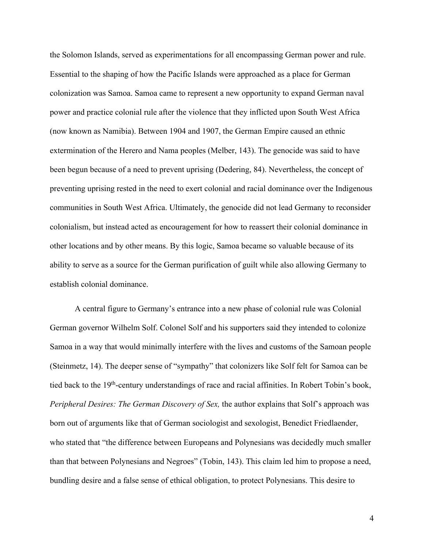the Solomon Islands, served as experimentations for all encompassing German power and rule. Essential to the shaping of how the Pacific Islands were approached as a place for German colonization was Samoa. Samoa came to represent a new opportunity to expand German naval power and practice colonial rule after the violence that they inflicted upon South West Africa (now known as Namibia). Between 1904 and 1907, the German Empire caused an ethnic extermination of the Herero and Nama peoples (Melber, 143). The genocide was said to have been begun because of a need to prevent uprising (Dedering, 84). Nevertheless, the concept of preventing uprising rested in the need to exert colonial and racial dominance over the Indigenous communities in South West Africa. Ultimately, the genocide did not lead Germany to reconsider colonialism, but instead acted as encouragement for how to reassert their colonial dominance in other locations and by other means. By this logic, Samoa became so valuable because of its ability to serve as a source for the German purification of guilt while also allowing Germany to establish colonial dominance.

A central figure to Germany's entrance into a new phase of colonial rule was Colonial German governor Wilhelm Solf. Colonel Solf and his supporters said they intended to colonize Samoa in a way that would minimally interfere with the lives and customs of the Samoan people (Steinmetz, 14). The deeper sense of "sympathy" that colonizers like Solf felt for Samoa can be tied back to the 19<sup>th</sup>-century understandings of race and racial affinities. In Robert Tobin's book, *Peripheral Desires: The German Discovery of Sex, the author explains that Solf's approach was* born out of arguments like that of German sociologist and sexologist, Benedict Friedlaender, who stated that "the difference between Europeans and Polynesians was decidedly much smaller than that between Polynesians and Negroes" (Tobin, 143). This claim led him to propose a need, bundling desire and a false sense of ethical obligation, to protect Polynesians. This desire to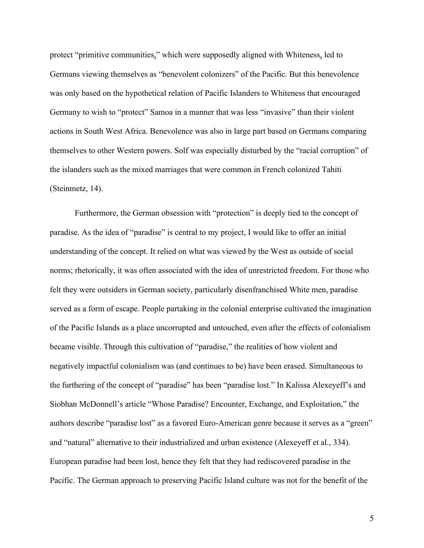protect "primitive communities," which were supposedly aligned with Whiteness, led to Germans viewing themselves as "benevolent colonizers" of the Pacific. But this benevolence was only based on the hypothetical relation of Pacific Islanders to Whiteness that encouraged Germany to wish to "protect" Samoa in a manner that was less "invasive" than their violent actions in South West Africa. Benevolence was also in large part based on Germans comparing themselves to other Western powers. Solf was especially disturbed by the "racial corruption" of the islanders such as the mixed marriages that were common in French colonized Tahiti (Steinmetz, 14).

Furthermore, the German obsession with "protection" is deeply tied to the concept of paradise. As the idea of "paradise" is central to my project, I would like to offer an initial understanding of the concept. It relied on what was viewed by the West as outside of social norms; rhetorically, it was often associated with the idea of unrestricted freedom. For those who felt they were outsiders in German society, particularly disenfranchised White men, paradise served as a form of escape. People partaking in the colonial enterprise cultivated the imagination of the Pacific Islands as a place uncorrupted and untouched, even after the effects of colonialism became visible. Through this cultivation of "paradise," the realities of how violent and negatively impactful colonialism was (and continues to be) have been erased. Simultaneous to the furthering of the concept of "paradise" has been "paradise lost." In Kalissa Alexeyeff's and Siobhan McDonnell's article "Whose Paradise? Encounter, Exchange, and Exploitation," the authors describe "paradise lost" as a favored Euro-American genre because it serves as a "green" and "natural" alternative to their industrialized and urban existence (Alexeyeff et al., 334). European paradise had been lost, hence they felt that they had rediscovered paradise in the Pacific. The German approach to preserving Pacific Island culture was not for the benefit of the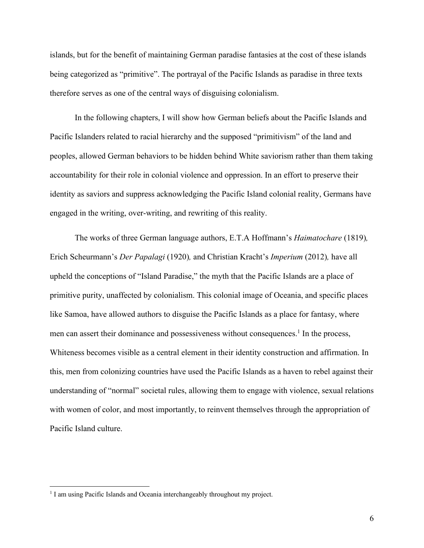islands, but for the benefit of maintaining German paradise fantasies at the cost of these islands being categorized as "primitive". The portrayal of the Pacific Islands as paradise in three texts therefore serves as one of the central ways of disguising colonialism.

In the following chapters, I will show how German beliefs about the Pacific Islands and Pacific Islanders related to racial hierarchy and the supposed "primitivism" of the land and peoples, allowed German behaviors to be hidden behind White saviorism rather than them taking accountability for their role in colonial violence and oppression. In an effort to preserve their identity as saviors and suppress acknowledging the Pacific Island colonial reality, Germans have engaged in the writing, over-writing, and rewriting of this reality.

The works of three German language authors, E.T.A Hoffmann's *Haimatochare* (1819)*,*  Erich Scheurmann's *Der Papalagi* (1920)*,* and Christian Kracht's *Imperium* (2012)*,* have all upheld the conceptions of "Island Paradise," the myth that the Pacific Islands are a place of primitive purity, unaffected by colonialism. This colonial image of Oceania, and specific places like Samoa, have allowed authors to disguise the Pacific Islands as a place for fantasy, where men can assert their dominance and possessiveness without consequences.<sup>1</sup> In the process, Whiteness becomes visible as a central element in their identity construction and affirmation. In this, men from colonizing countries have used the Pacific Islands as a haven to rebel against their understanding of "normal" societal rules, allowing them to engage with violence, sexual relations with women of color, and most importantly, to reinvent themselves through the appropriation of Pacific Island culture.

<sup>&</sup>lt;sup>1</sup> I am using Pacific Islands and Oceania interchangeably throughout my project.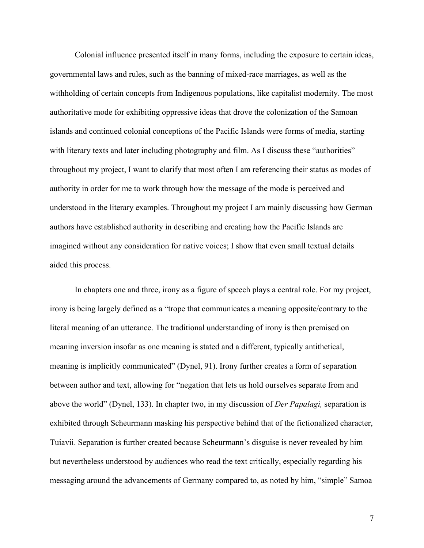Colonial influence presented itself in many forms, including the exposure to certain ideas, governmental laws and rules, such as the banning of mixed-race marriages, as well as the withholding of certain concepts from Indigenous populations, like capitalist modernity. The most authoritative mode for exhibiting oppressive ideas that drove the colonization of the Samoan islands and continued colonial conceptions of the Pacific Islands were forms of media, starting with literary texts and later including photography and film. As I discuss these "authorities" throughout my project, I want to clarify that most often I am referencing their status as modes of authority in order for me to work through how the message of the mode is perceived and understood in the literary examples. Throughout my project I am mainly discussing how German authors have established authority in describing and creating how the Pacific Islands are imagined without any consideration for native voices; I show that even small textual details aided this process.

In chapters one and three, irony as a figure of speech plays a central role. For my project, irony is being largely defined as a "trope that communicates a meaning opposite/contrary to the literal meaning of an utterance. The traditional understanding of irony is then premised on meaning inversion insofar as one meaning is stated and a different, typically antithetical, meaning is implicitly communicated" (Dynel, 91). Irony further creates a form of separation between author and text, allowing for "negation that lets us hold ourselves separate from and above the world" (Dynel, 133). In chapter two, in my discussion of *Der Papalagi,* separation is exhibited through Scheurmann masking his perspective behind that of the fictionalized character, Tuiavii. Separation is further created because Scheurmann's disguise is never revealed by him but nevertheless understood by audiences who read the text critically, especially regarding his messaging around the advancements of Germany compared to, as noted by him, "simple" Samoa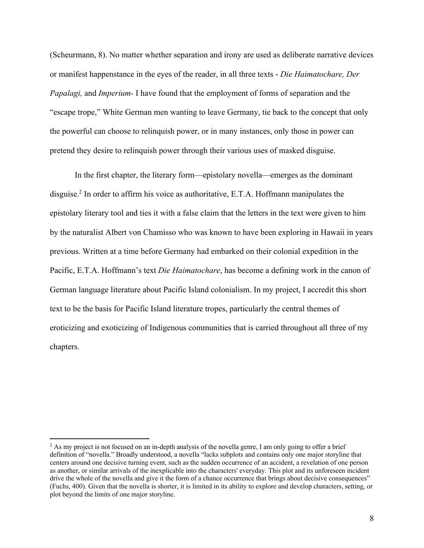(Scheurmann, 8). No matter whether separation and irony are used as deliberate narrative devices or manifest happenstance in the eyes of the reader, in all three texts - *Die Haimatochare, Der Papalagi,* and *Imperium-* I have found that the employment of forms of separation and the "escape trope," White German men wanting to leave Germany, tie back to the concept that only the powerful can choose to relinquish power, or in many instances, only those in power can pretend they desire to relinquish power through their various uses of masked disguise.

In the first chapter, the literary form—epistolary novella—emerges as the dominant disguise.2 In order to affirm his voice as authoritative, E.T.A. Hoffmann manipulates the epistolary literary tool and ties it with a false claim that the letters in the text were given to him by the naturalist Albert von Chamisso who was known to have been exploring in Hawaii in years previous. Written at a time before Germany had embarked on their colonial expedition in the Pacific, E.T.A. Hoffmann's text *Die Haimatochare*, has become a defining work in the canon of German language literature about Pacific Island colonialism. In my project, I accredit this short text to be the basis for Pacific Island literature tropes, particularly the central themes of eroticizing and exoticizing of Indigenous communities that is carried throughout all three of my chapters.

 $<sup>2</sup>$  As my project is not focused on an in-depth analysis of the novella genre, I am only going to offer a brief</sup> definition of "novella." Broadly understood, a novella "lacks subplots and contains only one major storyline that centers around one decisive turning event, such as the sudden occurrence of an accident, a revelation of one person as another, or similar arrivals of the inexplicable into the characters' everyday. This plot and its unforeseen incident drive the whole of the novella and give it the form of a chance occurrence that brings about decisive consequences" (Fuchs, 400). Given that the novella is shorter, it is limited in its ability to explore and develop characters, setting, or plot beyond the limits of one major storyline.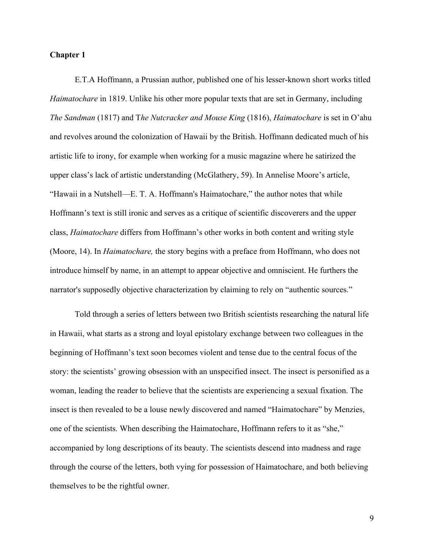#### **Chapter 1**

E.T.A Hoffmann, a Prussian author, published one of his lesser-known short works titled *Haimatochare* in 1819. Unlike his other more popular texts that are set in Germany, including *The Sandman* (1817) and T*he Nutcracker and Mouse King* (1816), *Haimatochare* is set in O'ahu and revolves around the colonization of Hawaii by the British. Hoffmann dedicated much of his artistic life to irony, for example when working for a music magazine where he satirized the upper class's lack of artistic understanding (McGlathery, 59). In Annelise Moore's article, "Hawaii in a Nutshell—E. T. A. Hoffmann's Haimatochare," the author notes that while Hoffmann's text is still ironic and serves as a critique of scientific discoverers and the upper class, *Haimatochare* differs from Hoffmann's other works in both content and writing style (Moore, 14). In *Haimatochare,* the story begins with a preface from Hoffmann, who does not introduce himself by name, in an attempt to appear objective and omniscient. He furthers the narrator's supposedly objective characterization by claiming to rely on "authentic sources."

Told through a series of letters between two British scientists researching the natural life in Hawaii, what starts as a strong and loyal epistolary exchange between two colleagues in the beginning of Hoffmann's text soon becomes violent and tense due to the central focus of the story: the scientists' growing obsession with an unspecified insect. The insect is personified as a woman, leading the reader to believe that the scientists are experiencing a sexual fixation. The insect is then revealed to be a louse newly discovered and named "Haimatochare" by Menzies, one of the scientists. When describing the Haimatochare, Hoffmann refers to it as "she," accompanied by long descriptions of its beauty. The scientists descend into madness and rage through the course of the letters, both vying for possession of Haimatochare, and both believing themselves to be the rightful owner.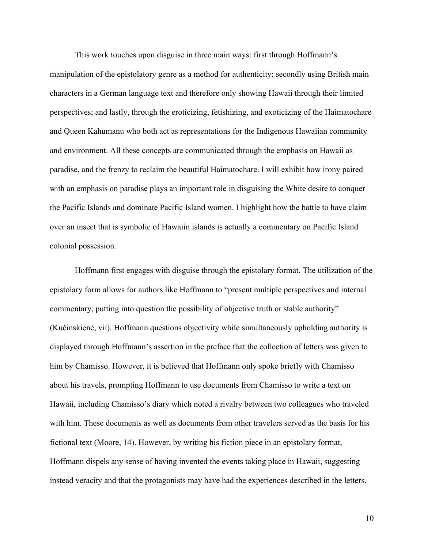This work touches upon disguise in three main ways: first through Hoffmann's manipulation of the epistolatory genre as a method for authenticity; secondly using British main characters in a German language text and therefore only showing Hawaii through their limited perspectives; and lastly, through the eroticizing, fetishizing, and exoticizing of the Haimatochare and Queen Kahumanu who both act as representations for the Indigenous Hawaiian community and environment. All these concepts are communicated through the emphasis on Hawaii as paradise, and the frenzy to reclaim the beautiful Haimatochare. I will exhibit how irony paired with an emphasis on paradise plays an important role in disguising the White desire to conquer the Pacific Islands and dominate Pacific Island women. I highlight how the battle to have claim over an insect that is symbolic of Hawaiin islands is actually a commentary on Pacific Island colonial possession.

Hoffmann first engages with disguise through the epistolary format. The utilization of the epistolary form allows for authors like Hoffmann to "present multiple perspectives and internal commentary, putting into question the possibility of objective truth or stable authority" (Kučinskienė, vii). Hoffmann questions objectivity while simultaneously upholding authority is displayed through Hoffmann's assertion in the preface that the collection of letters was given to him by Chamisso. However, it is believed that Hoffmann only spoke briefly with Chamisso about his travels, prompting Hoffmann to use documents from Chamisso to write a text on Hawaii, including Chamisso's diary which noted a rivalry between two colleagues who traveled with him. These documents as well as documents from other travelers served as the basis for his fictional text (Moore, 14). However, by writing his fiction piece in an epistolary format, Hoffmann dispels any sense of having invented the events taking place in Hawaii, suggesting instead veracity and that the protagonists may have had the experiences described in the letters.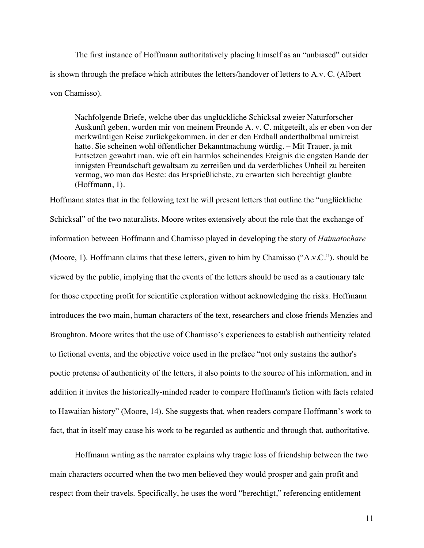The first instance of Hoffmann authoritatively placing himself as an "unbiased" outsider is shown through the preface which attributes the letters/handover of letters to A.v. C. (Albert von Chamisso).

Nachfolgende Briefe, welche über das unglückliche Schicksal zweier Naturforscher Auskunft geben, wurden mir von meinem Freunde A. v. C. mitgeteilt, als er eben von der merkwürdigen Reise zurückgekommen, in der er den Erdball anderthalbmal umkreist hatte. Sie scheinen wohl öffentlicher Bekanntmachung würdig. – Mit Trauer, ja mit Entsetzen gewahrt man, wie oft ein harmlos scheinendes Ereignis die engsten Bande der innigsten Freundschaft gewaltsam zu zerreißen und da verderbliches Unheil zu bereiten vermag, wo man das Beste: das Ersprießlichste, zu erwarten sich berechtigt glaubte (Hoffmann, 1).

Hoffmann states that in the following text he will present letters that outline the "unglückliche Schicksal" of the two naturalists. Moore writes extensively about the role that the exchange of information between Hoffmann and Chamisso played in developing the story of *Haimatochare* (Moore, 1). Hoffmann claims that these letters, given to him by Chamisso ("A.v.C."), should be viewed by the public, implying that the events of the letters should be used as a cautionary tale for those expecting profit for scientific exploration without acknowledging the risks. Hoffmann introduces the two main, human characters of the text, researchers and close friends Menzies and Broughton. Moore writes that the use of Chamisso's experiences to establish authenticity related to fictional events, and the objective voice used in the preface "not only sustains the author's poetic pretense of authenticity of the letters, it also points to the source of his information, and in addition it invites the historically-minded reader to compare Hoffmann's fiction with facts related to Hawaiian history" (Moore, 14). She suggests that, when readers compare Hoffmann's work to fact, that in itself may cause his work to be regarded as authentic and through that, authoritative.

Hoffmann writing as the narrator explains why tragic loss of friendship between the two main characters occurred when the two men believed they would prosper and gain profit and respect from their travels. Specifically, he uses the word "berechtigt," referencing entitlement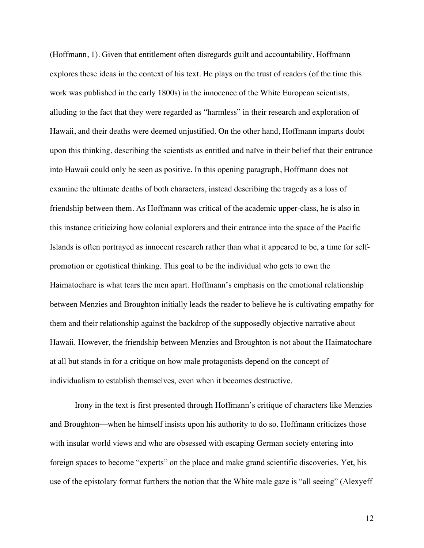(Hoffmann, 1). Given that entitlement often disregards guilt and accountability, Hoffmann explores these ideas in the context of his text. He plays on the trust of readers (of the time this work was published in the early 1800s) in the innocence of the White European scientists, alluding to the fact that they were regarded as "harmless" in their research and exploration of Hawaii, and their deaths were deemed unjustified. On the other hand, Hoffmann imparts doubt upon this thinking, describing the scientists as entitled and naïve in their belief that their entrance into Hawaii could only be seen as positive. In this opening paragraph, Hoffmann does not examine the ultimate deaths of both characters, instead describing the tragedy as a loss of friendship between them. As Hoffmann was critical of the academic upper-class, he is also in this instance criticizing how colonial explorers and their entrance into the space of the Pacific Islands is often portrayed as innocent research rather than what it appeared to be, a time for selfpromotion or egotistical thinking. This goal to be the individual who gets to own the Haimatochare is what tears the men apart. Hoffmann's emphasis on the emotional relationship between Menzies and Broughton initially leads the reader to believe he is cultivating empathy for them and their relationship against the backdrop of the supposedly objective narrative about Hawaii. However, the friendship between Menzies and Broughton is not about the Haimatochare at all but stands in for a critique on how male protagonists depend on the concept of individualism to establish themselves, even when it becomes destructive.

Irony in the text is first presented through Hoffmann's critique of characters like Menzies and Broughton—when he himself insists upon his authority to do so. Hoffmann criticizes those with insular world views and who are obsessed with escaping German society entering into foreign spaces to become "experts" on the place and make grand scientific discoveries. Yet, his use of the epistolary format furthers the notion that the White male gaze is "all seeing" (Alexyeff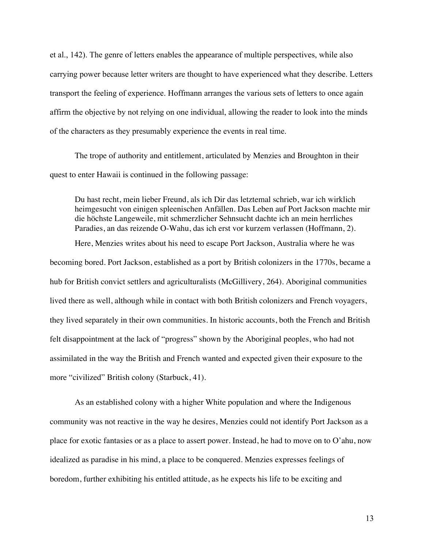et al., 142). The genre of letters enables the appearance of multiple perspectives, while also carrying power because letter writers are thought to have experienced what they describe. Letters transport the feeling of experience. Hoffmann arranges the various sets of letters to once again affirm the objective by not relying on one individual, allowing the reader to look into the minds of the characters as they presumably experience the events in real time.

The trope of authority and entitlement, articulated by Menzies and Broughton in their quest to enter Hawaii is continued in the following passage:

Du hast recht, mein lieber Freund, als ich Dir das letztemal schrieb, war ich wirklich heimgesucht von einigen spleenischen Anfällen. Das Leben auf Port Jackson machte mir die höchste Langeweile, mit schmerzlicher Sehnsucht dachte ich an mein herrliches Paradies, an das reizende O-Wahu, das ich erst vor kurzem verlassen (Hoffmann, 2).

Here, Menzies writes about his need to escape Port Jackson, Australia where he was becoming bored. Port Jackson, established as a port by British colonizers in the 1770s, became a hub for British convict settlers and agriculturalists (McGillivery, 264). Aboriginal communities lived there as well, although while in contact with both British colonizers and French voyagers, they lived separately in their own communities. In historic accounts, both the French and British felt disappointment at the lack of "progress" shown by the Aboriginal peoples, who had not assimilated in the way the British and French wanted and expected given their exposure to the more "civilized" British colony (Starbuck, 41).

As an established colony with a higher White population and where the Indigenous community was not reactive in the way he desires, Menzies could not identify Port Jackson as a place for exotic fantasies or as a place to assert power. Instead, he had to move on to O'ahu, now idealized as paradise in his mind, a place to be conquered. Menzies expresses feelings of boredom, further exhibiting his entitled attitude, as he expects his life to be exciting and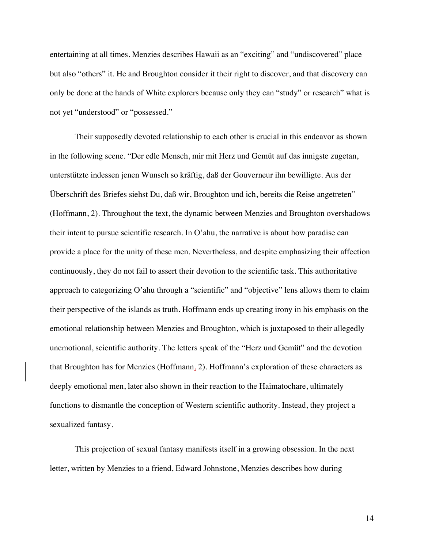entertaining at all times. Menzies describes Hawaii as an "exciting" and "undiscovered" place but also "others" it. He and Broughton consider it their right to discover, and that discovery can only be done at the hands of White explorers because only they can "study" or research" what is not yet "understood" or "possessed."

Their supposedly devoted relationship to each other is crucial in this endeavor as shown in the following scene. "Der edle Mensch, mir mit Herz und Gemüt auf das innigste zugetan, unterstützte indessen jenen Wunsch so kräftig, daß der Gouverneur ihn bewilligte. Aus der Überschrift des Briefes siehst Du, daß wir, Broughton und ich, bereits die Reise angetreten" (Hoffmann, 2). Throughout the text, the dynamic between Menzies and Broughton overshadows their intent to pursue scientific research. In O'ahu, the narrative is about how paradise can provide a place for the unity of these men. Nevertheless, and despite emphasizing their affection continuously, they do not fail to assert their devotion to the scientific task. This authoritative approach to categorizing O'ahu through a "scientific" and "objective" lens allows them to claim their perspective of the islands as truth. Hoffmann ends up creating irony in his emphasis on the emotional relationship between Menzies and Broughton, which is juxtaposed to their allegedly unemotional, scientific authority. The letters speak of the "Herz und Gemüt" and the devotion that Broughton has for Menzies (Hoffmann, 2). Hoffmann's exploration of these characters as deeply emotional men, later also shown in their reaction to the Haimatochare, ultimately functions to dismantle the conception of Western scientific authority. Instead, they project a sexualized fantasy.

This projection of sexual fantasy manifests itself in a growing obsession. In the next letter, written by Menzies to a friend, Edward Johnstone, Menzies describes how during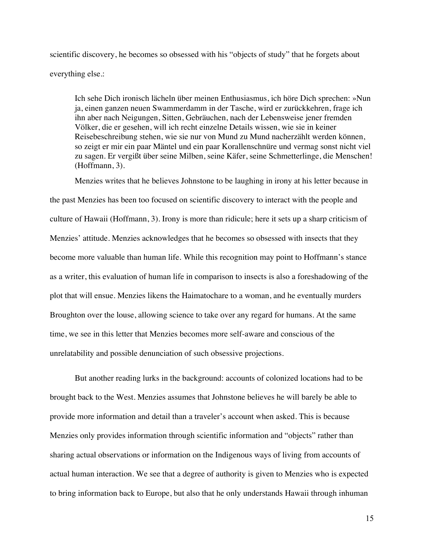scientific discovery, he becomes so obsessed with his "objects of study" that he forgets about everything else.:

Ich sehe Dich ironisch lächeln über meinen Enthusiasmus, ich höre Dich sprechen: »Nun ja, einen ganzen neuen Swammerdamm in der Tasche, wird er zurückkehren, frage ich ihn aber nach Neigungen, Sitten, Gebräuchen, nach der Lebensweise jener fremden Völker, die er gesehen, will ich recht einzelne Details wissen, wie sie in keiner Reisebeschreibung stehen, wie sie nur von Mund zu Mund nacherzählt werden können, so zeigt er mir ein paar Mäntel und ein paar Korallenschnüre und vermag sonst nicht viel zu sagen. Er vergißt über seine Milben, seine Käfer, seine Schmetterlinge, die Menschen! (Hoffmann, 3).

Menzies writes that he believes Johnstone to be laughing in irony at his letter because in the past Menzies has been too focused on scientific discovery to interact with the people and culture of Hawaii (Hoffmann, 3). Irony is more than ridicule; here it sets up a sharp criticism of Menzies' attitude. Menzies acknowledges that he becomes so obsessed with insects that they become more valuable than human life. While this recognition may point to Hoffmann's stance as a writer, this evaluation of human life in comparison to insects is also a foreshadowing of the plot that will ensue. Menzies likens the Haimatochare to a woman, and he eventually murders Broughton over the louse, allowing science to take over any regard for humans. At the same time, we see in this letter that Menzies becomes more self-aware and conscious of the unrelatability and possible denunciation of such obsessive projections.

But another reading lurks in the background: accounts of colonized locations had to be brought back to the West. Menzies assumes that Johnstone believes he will barely be able to provide more information and detail than a traveler's account when asked. This is because Menzies only provides information through scientific information and "objects" rather than sharing actual observations or information on the Indigenous ways of living from accounts of actual human interaction. We see that a degree of authority is given to Menzies who is expected to bring information back to Europe, but also that he only understands Hawaii through inhuman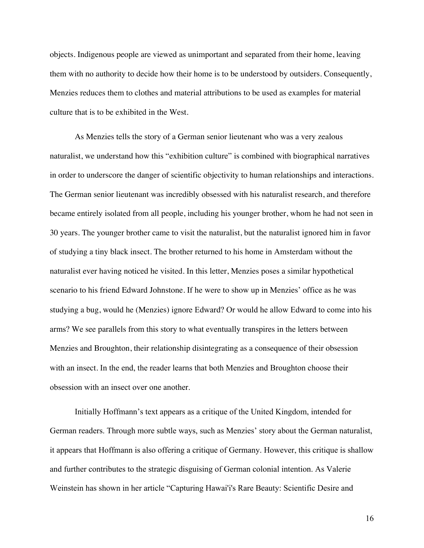objects. Indigenous people are viewed as unimportant and separated from their home, leaving them with no authority to decide how their home is to be understood by outsiders. Consequently, Menzies reduces them to clothes and material attributions to be used as examples for material culture that is to be exhibited in the West.

As Menzies tells the story of a German senior lieutenant who was a very zealous naturalist, we understand how this "exhibition culture" is combined with biographical narratives in order to underscore the danger of scientific objectivity to human relationships and interactions. The German senior lieutenant was incredibly obsessed with his naturalist research, and therefore became entirely isolated from all people, including his younger brother, whom he had not seen in 30 years. The younger brother came to visit the naturalist, but the naturalist ignored him in favor of studying a tiny black insect. The brother returned to his home in Amsterdam without the naturalist ever having noticed he visited. In this letter, Menzies poses a similar hypothetical scenario to his friend Edward Johnstone. If he were to show up in Menzies' office as he was studying a bug, would he (Menzies) ignore Edward? Or would he allow Edward to come into his arms? We see parallels from this story to what eventually transpires in the letters between Menzies and Broughton, their relationship disintegrating as a consequence of their obsession with an insect. In the end, the reader learns that both Menzies and Broughton choose their obsession with an insect over one another.

Initially Hoffmann's text appears as a critique of the United Kingdom, intended for German readers. Through more subtle ways, such as Menzies' story about the German naturalist, it appears that Hoffmann is also offering a critique of Germany. However, this critique is shallow and further contributes to the strategic disguising of German colonial intention. As Valerie Weinstein has shown in her article "Capturing Hawai'i's Rare Beauty: Scientific Desire and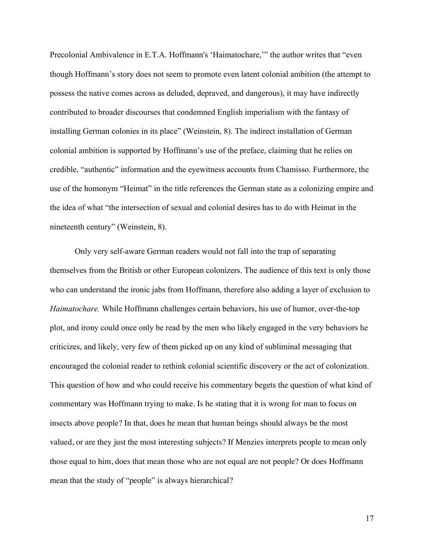Precolonial Ambivalence in E.T.A. Hoffmann's 'Haimatochare,'" the author writes that "even though Hoffmann's story does not seem to promote even latent colonial ambition (the attempt to possess the native comes across as deluded, depraved, and dangerous), it may have indirectly contributed to broader discourses that condemned English imperialism with the fantasy of installing German colonies in its place" (Weinstein, 8). The indirect installation of German colonial ambition is supported by Hoffmann's use of the preface, claiming that he relies on credible, "authentic" information and the eyewitness accounts from Chamisso. Furthermore, the use of the homonym "Heimat" in the title references the German state as a colonizing empire and the idea of what "the intersection of sexual and colonial desires has to do with Heimat in the nineteenth century" (Weinstein, 8).

Only very self-aware German readers would not fall into the trap of separating themselves from the British or other European colonizers. The audience of this text is only those who can understand the ironic jabs from Hoffmann, therefore also adding a layer of exclusion to *Haimatochare.* While Hoffmann challenges certain behaviors, his use of humor, over-the-top plot, and irony could once only be read by the men who likely engaged in the very behaviors he criticizes, and likely, very few of them picked up on any kind of subliminal messaging that encouraged the colonial reader to rethink colonial scientific discovery or the act of colonization. This question of how and who could receive his commentary begets the question of what kind of commentary was Hoffmann trying to make. Is he stating that it is wrong for man to focus on insects above people? In that, does he mean that human beings should always be the most valued, or are they just the most interesting subjects? If Menzies interprets people to mean only those equal to him, does that mean those who are not equal are not people? Or does Hoffmann mean that the study of "people" is always hierarchical?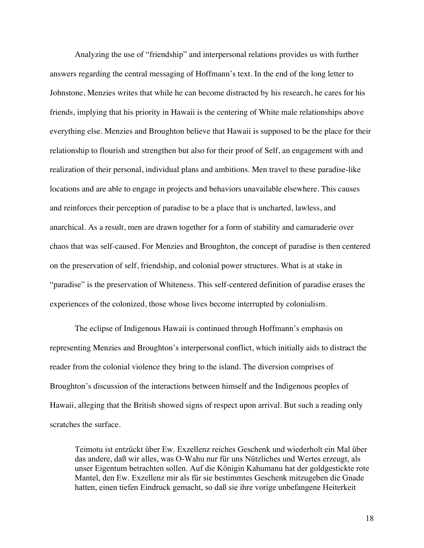Analyzing the use of "friendship" and interpersonal relations provides us with further answers regarding the central messaging of Hoffmann's text. In the end of the long letter to Johnstone, Menzies writes that while he can become distracted by his research, he cares for his friends, implying that his priority in Hawaii is the centering of White male relationships above everything else. Menzies and Broughton believe that Hawaii is supposed to be the place for their relationship to flourish and strengthen but also for their proof of Self, an engagement with and realization of their personal, individual plans and ambitions. Men travel to these paradise-like locations and are able to engage in projects and behaviors unavailable elsewhere. This causes and reinforces their perception of paradise to be a place that is uncharted, lawless, and anarchical. As a result, men are drawn together for a form of stability and camaraderie over chaos that was self-caused. For Menzies and Broughton, the concept of paradise is then centered on the preservation of self, friendship, and colonial power structures. What is at stake in "paradise" is the preservation of Whiteness. This self-centered definition of paradise erases the experiences of the colonized, those whose lives become interrupted by colonialism.

The eclipse of Indigenous Hawaii is continued through Hoffmann's emphasis on representing Menzies and Broughton's interpersonal conflict, which initially aids to distract the reader from the colonial violence they bring to the island. The diversion comprises of Broughton's discussion of the interactions between himself and the Indigenous peoples of Hawaii, alleging that the British showed signs of respect upon arrival. But such a reading only scratches the surface.

Teimotu ist entzückt über Ew. Exzellenz reiches Geschenk und wiederholt ein Mal über das andere, daß wir alles, was O-Wahu nur für uns Nützliches und Wertes erzeugt, als unser Eigentum betrachten sollen. Auf die Königin Kahumanu hat der goldgestickte rote Mantel, den Ew. Exzellenz mir als für sie bestimmtes Geschenk mitzugeben die Gnade hatten, einen tiefen Eindruck gemacht, so daß sie ihre vorige unbefangene Heiterkeit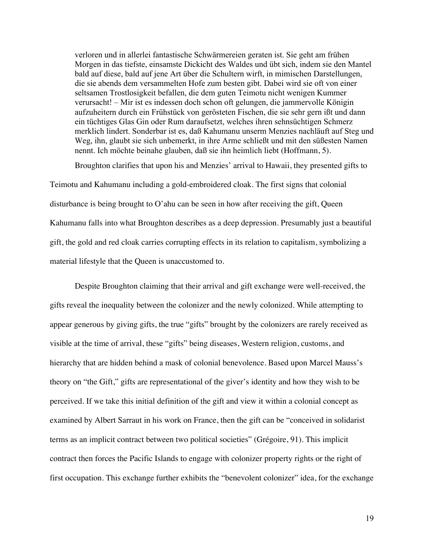verloren und in allerlei fantastische Schwärmereien geraten ist. Sie geht am frühen Morgen in das tiefste, einsamste Dickicht des Waldes und übt sich, indem sie den Mantel bald auf diese, bald auf jene Art über die Schultern wirft, in mimischen Darstellungen, die sie abends dem versammelten Hofe zum besten gibt. Dabei wird sie oft von einer seltsamen Trostlosigkeit befallen, die dem guten Teimotu nicht wenigen Kummer verursacht! – Mir ist es indessen doch schon oft gelungen, die jammervolle Königin aufzuheitern durch ein Frühstück von gerösteten Fischen, die sie sehr gern ißt und dann ein tüchtiges Glas Gin oder Rum daraufsetzt, welches ihren sehnsüchtigen Schmerz merklich lindert. Sonderbar ist es, daß Kahumanu unserm Menzies nachläuft auf Steg und Weg, ihn, glaubt sie sich unbemerkt, in ihre Arme schließt und mit den süßesten Namen nennt. Ich möchte beinahe glauben, daß sie ihn heimlich liebt (Hoffmann, 5).

Broughton clarifies that upon his and Menzies' arrival to Hawaii, they presented gifts to

Teimotu and Kahumanu including a gold-embroidered cloak. The first signs that colonial disturbance is being brought to O'ahu can be seen in how after receiving the gift, Queen Kahumanu falls into what Broughton describes as a deep depression. Presumably just a beautiful gift, the gold and red cloak carries corrupting effects in its relation to capitalism, symbolizing a material lifestyle that the Queen is unaccustomed to.

Despite Broughton claiming that their arrival and gift exchange were well-received, the gifts reveal the inequality between the colonizer and the newly colonized. While attempting to appear generous by giving gifts, the true "gifts" brought by the colonizers are rarely received as visible at the time of arrival, these "gifts" being diseases, Western religion, customs, and hierarchy that are hidden behind a mask of colonial benevolence. Based upon Marcel Mauss's theory on "the Gift," gifts are representational of the giver's identity and how they wish to be perceived. If we take this initial definition of the gift and view it within a colonial concept as examined by Albert Sarraut in his work on France, then the gift can be "conceived in solidarist terms as an implicit contract between two political societies" (Grégoire, 91). This implicit contract then forces the Pacific Islands to engage with colonizer property rights or the right of first occupation. This exchange further exhibits the "benevolent colonizer" idea, for the exchange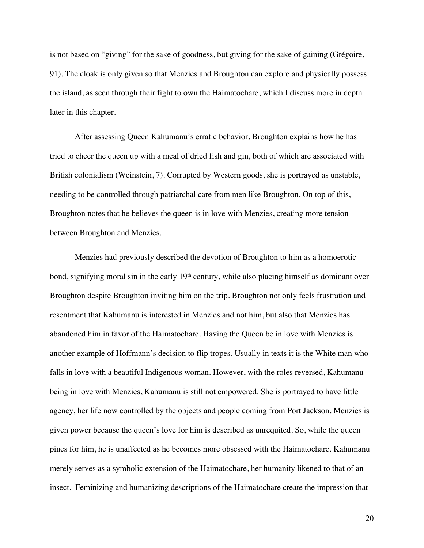is not based on "giving" for the sake of goodness, but giving for the sake of gaining (Grégoire, 91). The cloak is only given so that Menzies and Broughton can explore and physically possess the island, as seen through their fight to own the Haimatochare, which I discuss more in depth later in this chapter.

After assessing Queen Kahumanu's erratic behavior, Broughton explains how he has tried to cheer the queen up with a meal of dried fish and gin, both of which are associated with British colonialism (Weinstein, 7). Corrupted by Western goods, she is portrayed as unstable, needing to be controlled through patriarchal care from men like Broughton. On top of this, Broughton notes that he believes the queen is in love with Menzies, creating more tension between Broughton and Menzies.

Menzies had previously described the devotion of Broughton to him as a homoerotic bond, signifying moral sin in the early 19<sup>th</sup> century, while also placing himself as dominant over Broughton despite Broughton inviting him on the trip. Broughton not only feels frustration and resentment that Kahumanu is interested in Menzies and not him, but also that Menzies has abandoned him in favor of the Haimatochare. Having the Queen be in love with Menzies is another example of Hoffmann's decision to flip tropes. Usually in texts it is the White man who falls in love with a beautiful Indigenous woman. However, with the roles reversed, Kahumanu being in love with Menzies, Kahumanu is still not empowered. She is portrayed to have little agency, her life now controlled by the objects and people coming from Port Jackson. Menzies is given power because the queen's love for him is described as unrequited. So, while the queen pines for him, he is unaffected as he becomes more obsessed with the Haimatochare. Kahumanu merely serves as a symbolic extension of the Haimatochare, her humanity likened to that of an insect. Feminizing and humanizing descriptions of the Haimatochare create the impression that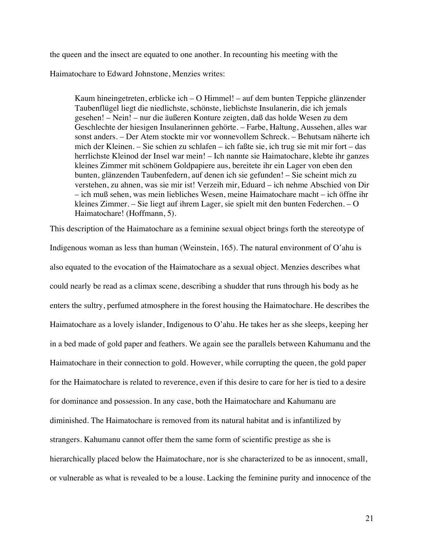the queen and the insect are equated to one another. In recounting his meeting with the

Haimatochare to Edward Johnstone, Menzies writes:

Kaum hineingetreten, erblicke ich – O Himmel! – auf dem bunten Teppiche glänzender Taubenflügel liegt die niedlichste, schönste, lieblichste Insulanerin, die ich jemals gesehen! – Nein! – nur die äußeren Konture zeigten, daß das holde Wesen zu dem Geschlechte der hiesigen Insulanerinnen gehörte. – Farbe, Haltung, Aussehen, alles war sonst anders. – Der Atem stockte mir vor wonnevollem Schreck. – Behutsam näherte ich mich der Kleinen. – Sie schien zu schlafen – ich faßte sie, ich trug sie mit mir fort – das herrlichste Kleinod der Insel war mein! – Ich nannte sie Haimatochare, klebte ihr ganzes kleines Zimmer mit schönem Goldpapiere aus, bereitete ihr ein Lager von eben den bunten, glänzenden Taubenfedern, auf denen ich sie gefunden! – Sie scheint mich zu verstehen, zu ahnen, was sie mir ist! Verzeih mir, Eduard – ich nehme Abschied von Dir – ich muß sehen, was mein liebliches Wesen, meine Haimatochare macht – ich öffne ihr kleines Zimmer. – Sie liegt auf ihrem Lager, sie spielt mit den bunten Federchen. – O Haimatochare! (Hoffmann, 5).

This description of the Haimatochare as a feminine sexual object brings forth the stereotype of Indigenous woman as less than human (Weinstein, 165). The natural environment of O'ahu is also equated to the evocation of the Haimatochare as a sexual object. Menzies describes what could nearly be read as a climax scene, describing a shudder that runs through his body as he enters the sultry, perfumed atmosphere in the forest housing the Haimatochare. He describes the Haimatochare as a lovely islander, Indigenous to O'ahu. He takes her as she sleeps, keeping her in a bed made of gold paper and feathers. We again see the parallels between Kahumanu and the Haimatochare in their connection to gold. However, while corrupting the queen, the gold paper for the Haimatochare is related to reverence, even if this desire to care for her is tied to a desire for dominance and possession. In any case, both the Haimatochare and Kahumanu are diminished. The Haimatochare is removed from its natural habitat and is infantilized by strangers. Kahumanu cannot offer them the same form of scientific prestige as she is hierarchically placed below the Haimatochare, nor is she characterized to be as innocent, small, or vulnerable as what is revealed to be a louse. Lacking the feminine purity and innocence of the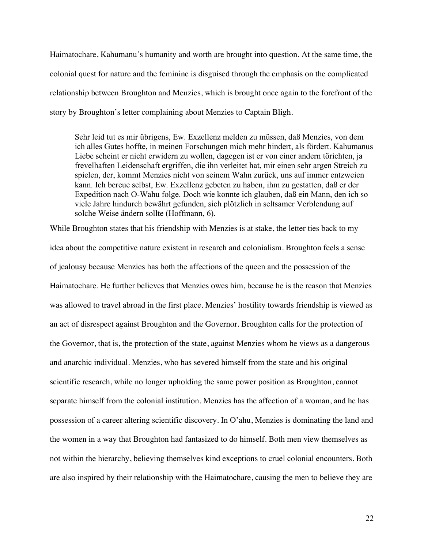Haimatochare, Kahumanu's humanity and worth are brought into question. At the same time, the colonial quest for nature and the feminine is disguised through the emphasis on the complicated relationship between Broughton and Menzies, which is brought once again to the forefront of the story by Broughton's letter complaining about Menzies to Captain Bligh.

Sehr leid tut es mir übrigens, Ew. Exzellenz melden zu müssen, daß Menzies, von dem ich alles Gutes hoffte, in meinen Forschungen mich mehr hindert, als fördert. Kahumanus Liebe scheint er nicht erwidern zu wollen, dagegen ist er von einer andern törichten, ja frevelhaften Leidenschaft ergriffen, die ihn verleitet hat, mir einen sehr argen Streich zu spielen, der, kommt Menzies nicht von seinem Wahn zurück, uns auf immer entzweien kann. Ich bereue selbst, Ew. Exzellenz gebeten zu haben, ihm zu gestatten, daß er der Expedition nach O-Wahu folge. Doch wie konnte ich glauben, daß ein Mann, den ich so viele Jahre hindurch bewährt gefunden, sich plötzlich in seltsamer Verblendung auf solche Weise ändern sollte (Hoffmann, 6).

While Broughton states that his friendship with Menzies is at stake, the letter ties back to my idea about the competitive nature existent in research and colonialism. Broughton feels a sense of jealousy because Menzies has both the affections of the queen and the possession of the Haimatochare. He further believes that Menzies owes him, because he is the reason that Menzies was allowed to travel abroad in the first place. Menzies' hostility towards friendship is viewed as an act of disrespect against Broughton and the Governor. Broughton calls for the protection of the Governor, that is, the protection of the state, against Menzies whom he views as a dangerous and anarchic individual. Menzies, who has severed himself from the state and his original scientific research, while no longer upholding the same power position as Broughton, cannot separate himself from the colonial institution. Menzies has the affection of a woman, and he has possession of a career altering scientific discovery. In O'ahu, Menzies is dominating the land and the women in a way that Broughton had fantasized to do himself. Both men view themselves as not within the hierarchy, believing themselves kind exceptions to cruel colonial encounters. Both are also inspired by their relationship with the Haimatochare, causing the men to believe they are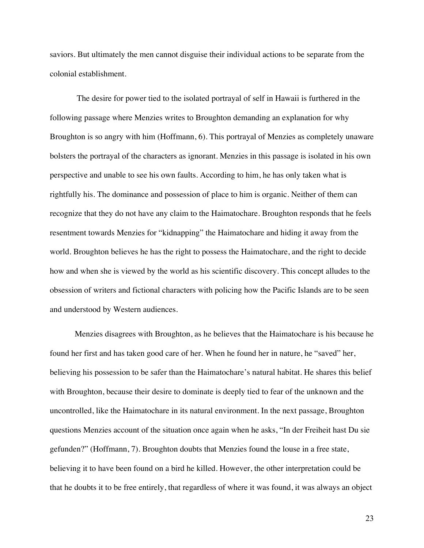saviors. But ultimately the men cannot disguise their individual actions to be separate from the colonial establishment.

The desire for power tied to the isolated portrayal of self in Hawaii is furthered in the following passage where Menzies writes to Broughton demanding an explanation for why Broughton is so angry with him (Hoffmann, 6). This portrayal of Menzies as completely unaware bolsters the portrayal of the characters as ignorant. Menzies in this passage is isolated in his own perspective and unable to see his own faults. According to him, he has only taken what is rightfully his. The dominance and possession of place to him is organic. Neither of them can recognize that they do not have any claim to the Haimatochare. Broughton responds that he feels resentment towards Menzies for "kidnapping" the Haimatochare and hiding it away from the world. Broughton believes he has the right to possess the Haimatochare, and the right to decide how and when she is viewed by the world as his scientific discovery. This concept alludes to the obsession of writers and fictional characters with policing how the Pacific Islands are to be seen and understood by Western audiences.

Menzies disagrees with Broughton, as he believes that the Haimatochare is his because he found her first and has taken good care of her. When he found her in nature, he "saved" her, believing his possession to be safer than the Haimatochare's natural habitat. He shares this belief with Broughton, because their desire to dominate is deeply tied to fear of the unknown and the uncontrolled, like the Haimatochare in its natural environment. In the next passage, Broughton questions Menzies account of the situation once again when he asks, "In der Freiheit hast Du sie gefunden?" (Hoffmann, 7). Broughton doubts that Menzies found the louse in a free state, believing it to have been found on a bird he killed. However, the other interpretation could be that he doubts it to be free entirely, that regardless of where it was found, it was always an object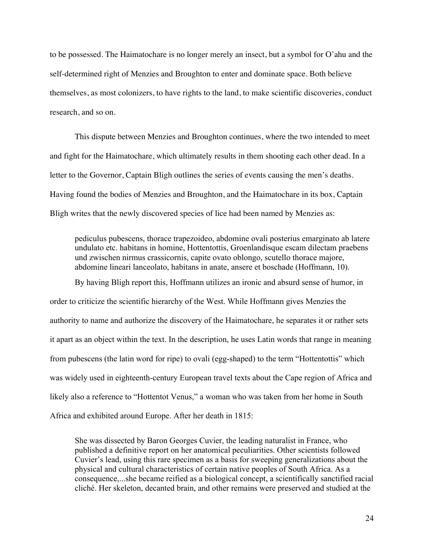to be possessed. The Haimatochare is no longer merely an insect, but a symbol for O'ahu and the self-determined right of Menzies and Broughton to enter and dominate space. Both believe themselves, as most colonizers, to have rights to the land, to make scientific discoveries, conduct research, and so on.

This dispute between Menzies and Broughton continues, where the two intended to meet and fight for the Haimatochare, which ultimately results in them shooting each other dead. In a letter to the Governor, Captain Bligh outlines the series of events causing the men's deaths. Having found the bodies of Menzies and Broughton, and the Haimatochare in its box, Captain Bligh writes that the newly discovered species of lice had been named by Menzies as:

pediculus pubescens, thorace trapezoideo, abdomine ovali posterius emarginato ab latere undulato etc. habitans in homine, Hottentottis, Groenlandisque escam dilectam praebens und zwischen nirmus crassicornis, capite ovato oblongo, scutello thorace majore, abdomine lineari lanceolato, habitans in anate, ansere et boschade (Hoffmann, 10).

By having Bligh report this, Hoffmann utilizes an ironic and absurd sense of humor, in order to criticize the scientific hierarchy of the West. While Hoffmann gives Menzies the authority to name and authorize the discovery of the Haimatochare, he separates it or rather sets it apart as an object within the text. In the description, he uses Latin words that range in meaning from pubescens (the latin word for ripe) to ovali (egg-shaped) to the term "Hottentottis" which was widely used in eighteenth-century European travel texts about the Cape region of Africa and likely also a reference to "Hottentot Venus," a woman who was taken from her home in South Africa and exhibited around Europe. After her death in 1815:

She was dissected by Baron Georges Cuvier, the leading naturalist in France, who published a definitive report on her anatomical peculiarities. Other scientists followed Cuvier's lead, using this rare specimen as a basis for sweeping generalizations about the physical and cultural characteristics of certain native peoples of South Africa. As a consequence,...she became reified as a biological concept, a scientifically sanctified racial cliché. Her skeleton, decanted brain, and other remains were preserved and studied at the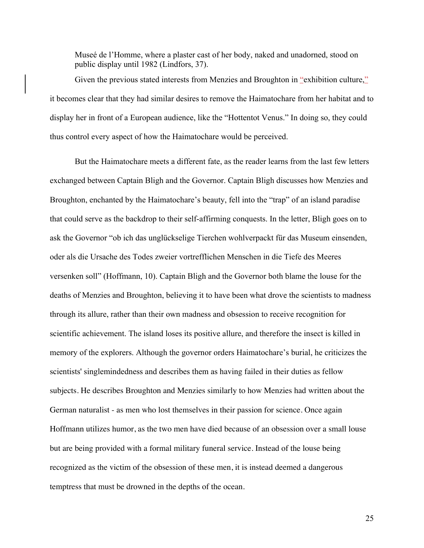Museé de l'Homme, where a plaster cast of her body, naked and unadorned, stood on public display until 1982 (Lindfors, 37).

Given the previous stated interests from Menzies and Broughton in "exhibition culture," it becomes clear that they had similar desires to remove the Haimatochare from her habitat and to display her in front of a European audience, like the "Hottentot Venus." In doing so, they could thus control every aspect of how the Haimatochare would be perceived.

But the Haimatochare meets a different fate, as the reader learns from the last few letters exchanged between Captain Bligh and the Governor. Captain Bligh discusses how Menzies and Broughton, enchanted by the Haimatochare's beauty, fell into the "trap" of an island paradise that could serve as the backdrop to their self-affirming conquests. In the letter, Bligh goes on to ask the Governor "ob ich das unglückselige Tierchen wohlverpackt für das Museum einsenden, oder als die Ursache des Todes zweier vortrefflichen Menschen in die Tiefe des Meeres versenken soll" (Hoffmann, 10). Captain Bligh and the Governor both blame the louse for the deaths of Menzies and Broughton, believing it to have been what drove the scientists to madness through its allure, rather than their own madness and obsession to receive recognition for scientific achievement. The island loses its positive allure, and therefore the insect is killed in memory of the explorers. Although the governor orders Haimatochare's burial, he criticizes the scientists' singlemindedness and describes them as having failed in their duties as fellow subjects. He describes Broughton and Menzies similarly to how Menzies had written about the German naturalist - as men who lost themselves in their passion for science. Once again Hoffmann utilizes humor, as the two men have died because of an obsession over a small louse but are being provided with a formal military funeral service. Instead of the louse being recognized as the victim of the obsession of these men, it is instead deemed a dangerous temptress that must be drowned in the depths of the ocean.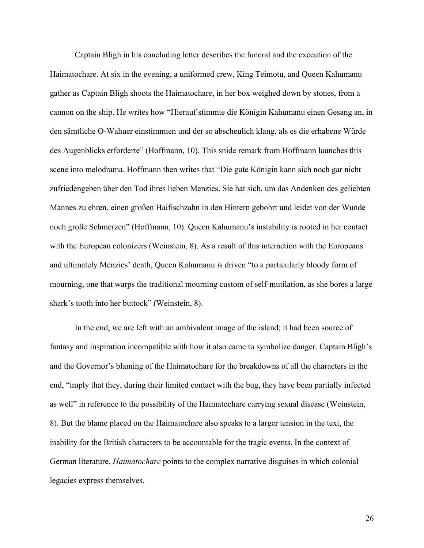Captain Bligh in his concluding letter describes the funeral and the execution of the Haimatochare. At six in the evening, a uniformed crew, King Teimotu, and Queen Kahumanu gather as Captain Bligh shoots the Haimatochare, in her box weighed down by stones, from a cannon on the ship. He writes how "Hierauf stimmte die Königin Kahumanu einen Gesang an, in den sämtliche O-Wahuer einstimmten und der so abscheulich klang, als es die erhabene Würde des Augenblicks erforderte" (Hoffmann, 10). This snide remark from Hoffmann launches this scene into melodrama. Hoffmann then writes that "Die gute Königin kann sich noch gar nicht zufriedengeben über den Tod ihres lieben Menzies. Sie hat sich, um das Andenken des geliebten Mannes zu ehren, einen großen Haifischzahn in den Hintern gebohrt und leidet von der Wunde noch große Schmerzen" (Hoffmann, 10). Queen Kahumanu's instability is rooted in her contact with the European colonizers (Weinstein, 8). As a result of this interaction with the Europeans and ultimately Menzies' death, Queen Kahumanu is driven "to a particularly bloody form of mourning, one that warps the traditional mourning custom of self-mutilation, as she bores a large shark's tooth into her buttock" (Weinstein, 8).

In the end, we are left with an ambivalent image of the island; it had been source of fantasy and inspiration incompatible with how it also came to symbolize danger. Captain Bligh's and the Governor's blaming of the Haimatochare for the breakdowns of all the characters in the end, "imply that they, during their limited contact with the bug, they have been partially infected as well" in reference to the possibility of the Haimatochare carrying sexual disease (Weinstein, 8). But the blame placed on the Haimatochare also speaks to a larger tension in the text, the inability for the British characters to be accountable for the tragic events. In the context of German literature, *Haimatochare* points to the complex narrative disguises in which colonial legacies express themselves.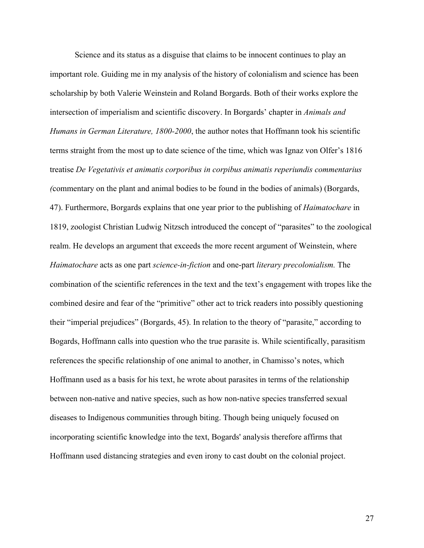Science and its status as a disguise that claims to be innocent continues to play an important role. Guiding me in my analysis of the history of colonialism and science has been scholarship by both Valerie Weinstein and Roland Borgards. Both of their works explore the intersection of imperialism and scientific discovery. In Borgards' chapter in *Animals and Humans in German Literature, 1800-2000*, the author notes that Hoffmann took his scientific terms straight from the most up to date science of the time, which was Ignaz von Olfer's 1816 treatise *De Vegetativis et animatis corporibus in corpibus animatis reperiundis commentarius (*commentary on the plant and animal bodies to be found in the bodies of animals) (Borgards, 47). Furthermore, Borgards explains that one year prior to the publishing of *Haimatochare* in 1819, zoologist Christian Ludwig Nitzsch introduced the concept of "parasites" to the zoological realm. He develops an argument that exceeds the more recent argument of Weinstein, where *Haimatochare* acts as one part *science-in-fiction* and one-part *literary precolonialism.* The combination of the scientific references in the text and the text's engagement with tropes like the combined desire and fear of the "primitive" other act to trick readers into possibly questioning their "imperial prejudices" (Borgards, 45). In relation to the theory of "parasite," according to Bogards, Hoffmann calls into question who the true parasite is. While scientifically, parasitism references the specific relationship of one animal to another, in Chamisso's notes, which Hoffmann used as a basis for his text, he wrote about parasites in terms of the relationship between non-native and native species, such as how non-native species transferred sexual diseases to Indigenous communities through biting. Though being uniquely focused on incorporating scientific knowledge into the text, Bogards' analysis therefore affirms that Hoffmann used distancing strategies and even irony to cast doubt on the colonial project.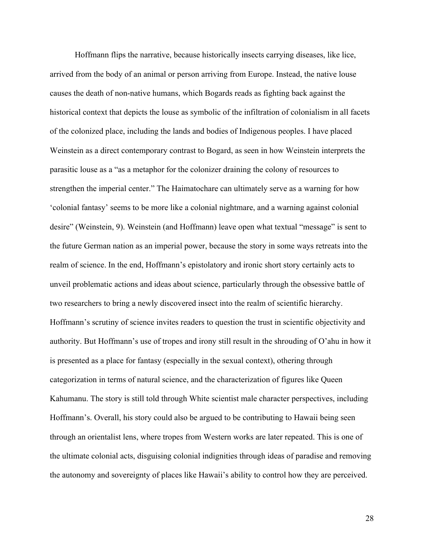Hoffmann flips the narrative, because historically insects carrying diseases, like lice, arrived from the body of an animal or person arriving from Europe. Instead, the native louse causes the death of non-native humans, which Bogards reads as fighting back against the historical context that depicts the louse as symbolic of the infiltration of colonialism in all facets of the colonized place, including the lands and bodies of Indigenous peoples. I have placed Weinstein as a direct contemporary contrast to Bogard, as seen in how Weinstein interprets the parasitic louse as a "as a metaphor for the colonizer draining the colony of resources to strengthen the imperial center." The Haimatochare can ultimately serve as a warning for how 'colonial fantasy' seems to be more like a colonial nightmare, and a warning against colonial desire" (Weinstein, 9). Weinstein (and Hoffmann) leave open what textual "message" is sent to the future German nation as an imperial power, because the story in some ways retreats into the realm of science. In the end, Hoffmann's epistolatory and ironic short story certainly acts to unveil problematic actions and ideas about science, particularly through the obsessive battle of two researchers to bring a newly discovered insect into the realm of scientific hierarchy. Hoffmann's scrutiny of science invites readers to question the trust in scientific objectivity and authority. But Hoffmann's use of tropes and irony still result in the shrouding of O'ahu in how it is presented as a place for fantasy (especially in the sexual context), othering through categorization in terms of natural science, and the characterization of figures like Queen Kahumanu. The story is still told through White scientist male character perspectives, including Hoffmann's. Overall, his story could also be argued to be contributing to Hawaii being seen through an orientalist lens, where tropes from Western works are later repeated. This is one of the ultimate colonial acts, disguising colonial indignities through ideas of paradise and removing the autonomy and sovereignty of places like Hawaii's ability to control how they are perceived.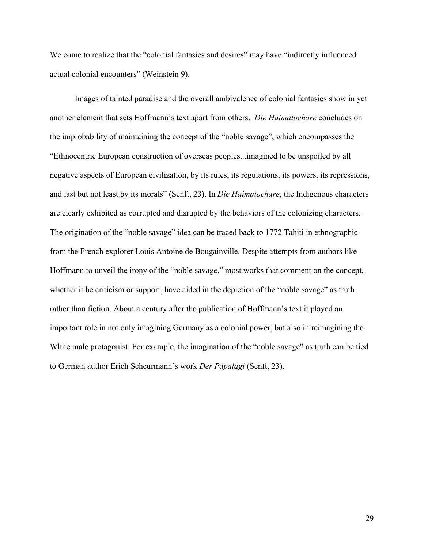We come to realize that the "colonial fantasies and desires" may have "indirectly influenced actual colonial encounters" (Weinstein 9).

Images of tainted paradise and the overall ambivalence of colonial fantasies show in yet another element that sets Hoffmann's text apart from others. *Die Haimatochare* concludes on the improbability of maintaining the concept of the "noble savage", which encompasses the "Ethnocentric European construction of overseas peoples...imagined to be unspoiled by all negative aspects of European civilization, by its rules, its regulations, its powers, its repressions, and last but not least by its morals" (Senft, 23). In *Die Haimatochare*, the Indigenous characters are clearly exhibited as corrupted and disrupted by the behaviors of the colonizing characters. The origination of the "noble savage" idea can be traced back to 1772 Tahiti in ethnographic from the French explorer Louis Antoine de Bougainville. Despite attempts from authors like Hoffmann to unveil the irony of the "noble savage," most works that comment on the concept, whether it be criticism or support, have aided in the depiction of the "noble savage" as truth rather than fiction. About a century after the publication of Hoffmann's text it played an important role in not only imagining Germany as a colonial power, but also in reimagining the White male protagonist. For example, the imagination of the "noble savage" as truth can be tied to German author Erich Scheurmann's work *Der Papalagi* (Senft, 23).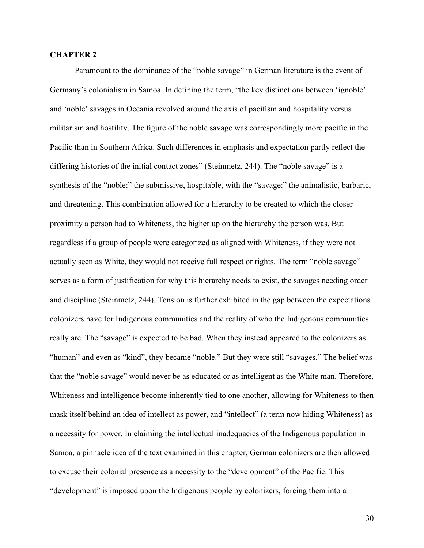### **CHAPTER 2**

Paramount to the dominance of the "noble savage" in German literature is the event of Germany's colonialism in Samoa. In defining the term, "the key distinctions between 'ignoble' and 'noble' savages in Oceania revolved around the axis of pacifism and hospitality versus militarism and hostility. The figure of the noble savage was correspondingly more pacific in the Pacific than in Southern Africa. Such differences in emphasis and expectation partly reflect the differing histories of the initial contact zones" (Steinmetz, 244). The "noble savage" is a synthesis of the "noble:" the submissive, hospitable, with the "savage:" the animalistic, barbaric, and threatening. This combination allowed for a hierarchy to be created to which the closer proximity a person had to Whiteness, the higher up on the hierarchy the person was. But regardless if a group of people were categorized as aligned with Whiteness, if they were not actually seen as White, they would not receive full respect or rights. The term "noble savage" serves as a form of justification for why this hierarchy needs to exist, the savages needing order and discipline (Steinmetz, 244). Tension is further exhibited in the gap between the expectations colonizers have for Indigenous communities and the reality of who the Indigenous communities really are. The "savage" is expected to be bad. When they instead appeared to the colonizers as "human" and even as "kind", they became "noble." But they were still "savages." The belief was that the "noble savage" would never be as educated or as intelligent as the White man. Therefore, Whiteness and intelligence become inherently tied to one another, allowing for Whiteness to then mask itself behind an idea of intellect as power, and "intellect" (a term now hiding Whiteness) as a necessity for power. In claiming the intellectual inadequacies of the Indigenous population in Samoa, a pinnacle idea of the text examined in this chapter, German colonizers are then allowed to excuse their colonial presence as a necessity to the "development" of the Pacific. This "development" is imposed upon the Indigenous people by colonizers, forcing them into a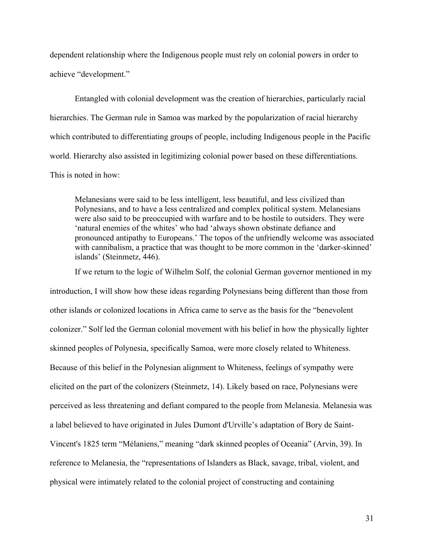dependent relationship where the Indigenous people must rely on colonial powers in order to achieve "development."

Entangled with colonial development was the creation of hierarchies, particularly racial hierarchies. The German rule in Samoa was marked by the popularization of racial hierarchy which contributed to differentiating groups of people, including Indigenous people in the Pacific world. Hierarchy also assisted in legitimizing colonial power based on these differentiations. This is noted in how:

Melanesians were said to be less intelligent, less beautiful, and less civilized than Polynesians, and to have a less centralized and complex political system. Melanesians were also said to be preoccupied with warfare and to be hostile to outsiders. They were 'natural enemies of the whites' who had 'always shown obstinate defiance and pronounced antipathy to Europeans.' The topos of the unfriendly welcome was associated with cannibalism, a practice that was thought to be more common in the 'darker-skinned' islands' (Steinmetz, 446).

If we return to the logic of Wilhelm Solf, the colonial German governor mentioned in my introduction, I will show how these ideas regarding Polynesians being different than those from other islands or colonized locations in Africa came to serve as the basis for the "benevolent colonizer." Solf led the German colonial movement with his belief in how the physically lighter skinned peoples of Polynesia, specifically Samoa, were more closely related to Whiteness. Because of this belief in the Polynesian alignment to Whiteness, feelings of sympathy were elicited on the part of the colonizers (Steinmetz, 14). Likely based on race, Polynesians were perceived as less threatening and defiant compared to the people from Melanesia. Melanesia was a label believed to have originated in Jules Dumont d'Urville's adaptation of Bory de Saint-Vincent's 1825 term "Mélaniens," meaning "dark skinned peoples of Oceania" (Arvin, 39). In reference to Melanesia, the "representations of Islanders as Black, savage, tribal, violent, and physical were intimately related to the colonial project of constructing and containing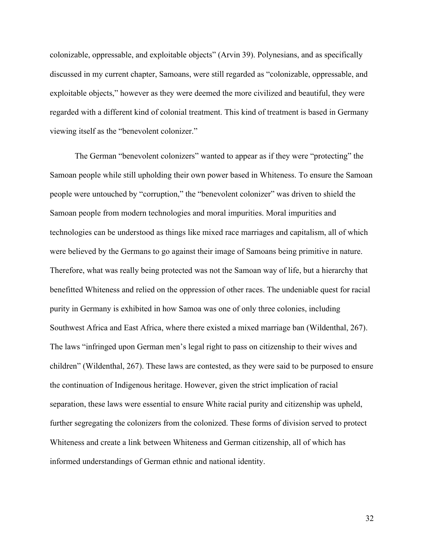colonizable, oppressable, and exploitable objects" (Arvin 39). Polynesians, and as specifically discussed in my current chapter, Samoans, were still regarded as "colonizable, oppressable, and exploitable objects," however as they were deemed the more civilized and beautiful, they were regarded with a different kind of colonial treatment. This kind of treatment is based in Germany viewing itself as the "benevolent colonizer."

The German "benevolent colonizers" wanted to appear as if they were "protecting" the Samoan people while still upholding their own power based in Whiteness. To ensure the Samoan people were untouched by "corruption," the "benevolent colonizer" was driven to shield the Samoan people from modern technologies and moral impurities. Moral impurities and technologies can be understood as things like mixed race marriages and capitalism, all of which were believed by the Germans to go against their image of Samoans being primitive in nature. Therefore, what was really being protected was not the Samoan way of life, but a hierarchy that benefitted Whiteness and relied on the oppression of other races. The undeniable quest for racial purity in Germany is exhibited in how Samoa was one of only three colonies, including Southwest Africa and East Africa, where there existed a mixed marriage ban (Wildenthal, 267). The laws "infringed upon German men's legal right to pass on citizenship to their wives and children" (Wildenthal, 267). These laws are contested, as they were said to be purposed to ensure the continuation of Indigenous heritage. However, given the strict implication of racial separation, these laws were essential to ensure White racial purity and citizenship was upheld, further segregating the colonizers from the colonized. These forms of division served to protect Whiteness and create a link between Whiteness and German citizenship, all of which has informed understandings of German ethnic and national identity.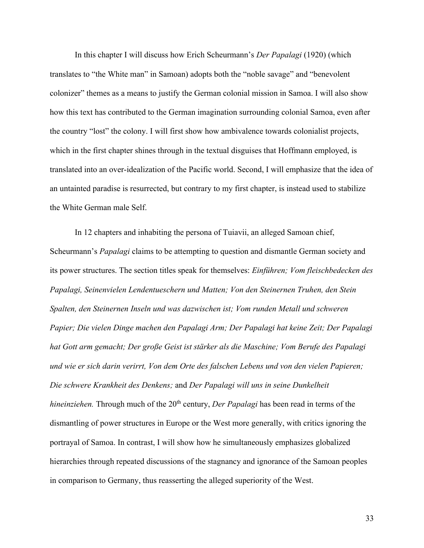In this chapter I will discuss how Erich Scheurmann's *Der Papalagi* (1920) (which translates to "the White man" in Samoan) adopts both the "noble savage" and "benevolent colonizer" themes as a means to justify the German colonial mission in Samoa. I will also show how this text has contributed to the German imagination surrounding colonial Samoa, even after the country "lost" the colony. I will first show how ambivalence towards colonialist projects, which in the first chapter shines through in the textual disguises that Hoffmann employed, is translated into an over-idealization of the Pacific world. Second, I will emphasize that the idea of an untainted paradise is resurrected, but contrary to my first chapter, is instead used to stabilize the White German male Self.

In 12 chapters and inhabiting the persona of Tuiavii, an alleged Samoan chief, Scheurmann's *Papalagi* claims to be attempting to question and dismantle German society and its power structures. The section titles speak for themselves: *Einführen; Vom fleischbedecken des Papalagi, Seinenvielen Lendentueschern und Matten; Von den Steinernen Truhen, den Stein Spalten, den Steinernen Inseln und was dazwischen ist; Vom runden Metall und schweren Papier; Die vielen Dinge machen den Papalagi Arm; Der Papalagi hat keine Zeit; Der Papalagi hat Gott arm gemacht; Der große Geist ist stärker als die Maschine; Vom Berufe des Papalagi und wie er sich darin verirrt, Von dem Orte des falschen Lebens und von den vielen Papieren; Die schwere Krankheit des Denkens;* and *Der Papalagi will uns in seine Dunkelheit hineinziehen.* Through much of the 20<sup>th</sup> century, *Der Papalagi* has been read in terms of the dismantling of power structures in Europe or the West more generally, with critics ignoring the portrayal of Samoa. In contrast, I will show how he simultaneously emphasizes globalized hierarchies through repeated discussions of the stagnancy and ignorance of the Samoan peoples in comparison to Germany, thus reasserting the alleged superiority of the West.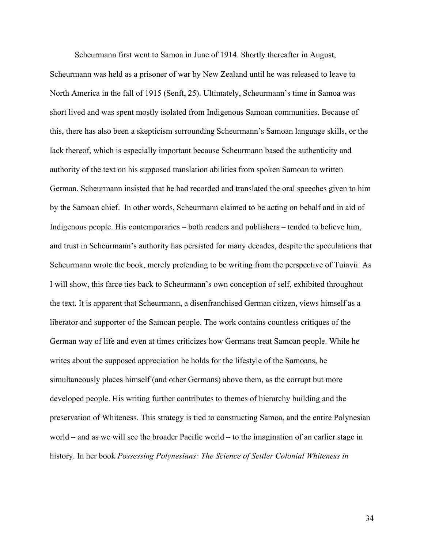Scheurmann first went to Samoa in June of 1914. Shortly thereafter in August,

Scheurmann was held as a prisoner of war by New Zealand until he was released to leave to North America in the fall of 1915 (Senft, 25). Ultimately, Scheurmann's time in Samoa was short lived and was spent mostly isolated from Indigenous Samoan communities. Because of this, there has also been a skepticism surrounding Scheurmann's Samoan language skills, or the lack thereof, which is especially important because Scheurmann based the authenticity and authority of the text on his supposed translation abilities from spoken Samoan to written German. Scheurmann insisted that he had recorded and translated the oral speeches given to him by the Samoan chief. In other words, Scheurmann claimed to be acting on behalf and in aid of Indigenous people. His contemporaries – both readers and publishers – tended to believe him, and trust in Scheurmann's authority has persisted for many decades, despite the speculations that Scheurmann wrote the book, merely pretending to be writing from the perspective of Tuiavii. As I will show, this farce ties back to Scheurmann's own conception of self, exhibited throughout the text. It is apparent that Scheurmann, a disenfranchised German citizen, views himself as a liberator and supporter of the Samoan people. The work contains countless critiques of the German way of life and even at times criticizes how Germans treat Samoan people. While he writes about the supposed appreciation he holds for the lifestyle of the Samoans, he simultaneously places himself (and other Germans) above them, as the corrupt but more developed people. His writing further contributes to themes of hierarchy building and the preservation of Whiteness. This strategy is tied to constructing Samoa, and the entire Polynesian world – and as we will see the broader Pacific world – to the imagination of an earlier stage in history. In her book *Possessing Polynesians: The Science of Settler Colonial Whiteness in*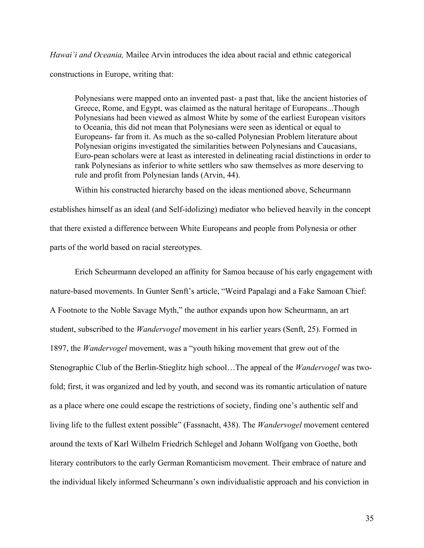*Hawai`i and Oceania,* Mailee Arvin introduces the idea about racial and ethnic categorical constructions in Europe, writing that:

Polynesians were mapped onto an invented past- a past that, like the ancient histories of Greece, Rome, and Egypt, was claimed as the natural heritage of Europeans...Though Polynesians had been viewed as almost White by some of the earliest European visitors to Oceania, this did not mean that Polynesians were seen as identical or equal to Europeans- far from it. As much as the so-called Polynesian Problem literature about Polynesian origins investigated the similarities between Polynesians and Caucasians, Euro-pean scholars were at least as interested in delineating racial distinctions in order to rank Polynesians as inferior to white settlers who saw themselves as more deserving to rule and profit from Polynesian lands (Arvin, 44).

Within his constructed hierarchy based on the ideas mentioned above, Scheurmann establishes himself as an ideal (and Self-idolizing) mediator who believed heavily in the concept that there existed a difference between White Europeans and people from Polynesia or other parts of the world based on racial stereotypes.

Erich Scheurmann developed an affinity for Samoa because of his early engagement with nature-based movements. In Gunter Senft's article, "Weird Papalagi and a Fake Samoan Chief: A Footnote to the Noble Savage Myth," the author expands upon how Scheurmann, an art student, subscribed to the *Wandervogel* movement in his earlier years (Senft, 25). Formed in 1897, the *Wandervogel* movement, was a "youth hiking movement that grew out of the Stenographic Club of the Berlin-Stieglitz high school…The appeal of the *Wandervogel* was twofold; first, it was organized and led by youth, and second was its romantic articulation of nature as a place where one could escape the restrictions of society, finding one's authentic self and living life to the fullest extent possible" (Fassnacht, 438). The *Wandervogel* movement centered around the texts of Karl Wilhelm Friedrich Schlegel and Johann Wolfgang von Goethe, both literary contributors to the early German Romanticism movement. Their embrace of nature and the individual likely informed Scheurmann's own individualistic approach and his conviction in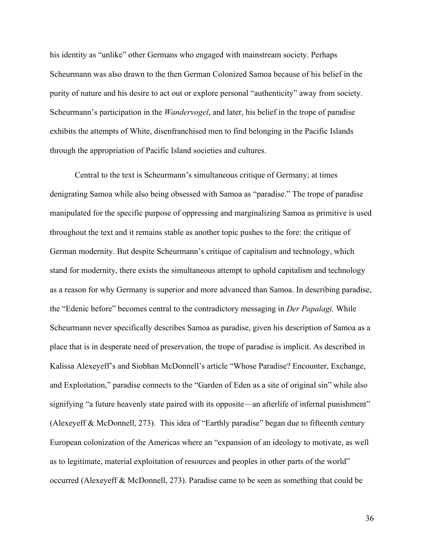his identity as "unlike" other Germans who engaged with mainstream society. Perhaps Scheurmann was also drawn to the then German Colonized Samoa because of his belief in the purity of nature and his desire to act out or explore personal "authenticity" away from society. Scheurmann's participation in the *Wandervogel*, and later, his belief in the trope of paradise exhibits the attempts of White, disenfranchised men to find belonging in the Pacific Islands through the appropriation of Pacific Island societies and cultures.

Central to the text is Scheurmann's simultaneous critique of Germany; at times denigrating Samoa while also being obsessed with Samoa as "paradise." The trope of paradise manipulated for the specific purpose of oppressing and marginalizing Samoa as primitive is used throughout the text and it remains stable as another topic pushes to the fore: the critique of German modernity. But despite Scheurmann's critique of capitalism and technology, which stand for modernity, there exists the simultaneous attempt to uphold capitalism and technology as a reason for why Germany is superior and more advanced than Samoa. In describing paradise, the "Edenic before" becomes central to the contradictory messaging in *Der Papalagi.* While Scheurmann never specifically describes Samoa as paradise, given his description of Samoa as a place that is in desperate need of preservation, the trope of paradise is implicit. As described in Kalissa Alexeyeff's and Siobhan McDonnell's article "Whose Paradise? Encounter, Exchange, and Exploitation," paradise connects to the "Garden of Eden as a site of original sin" while also signifying "a future heavenly state paired with its opposite—an afterlife of infernal punishment" (Alexeyeff & McDonnell, 273). This idea of "Earthly paradise" began due to fifteenth century European colonization of the Americas where an "expansion of an ideology to motivate, as well as to legitimate, material exploitation of resources and peoples in other parts of the world" occurred (Alexeyeff & McDonnell, 273). Paradise came to be seen as something that could be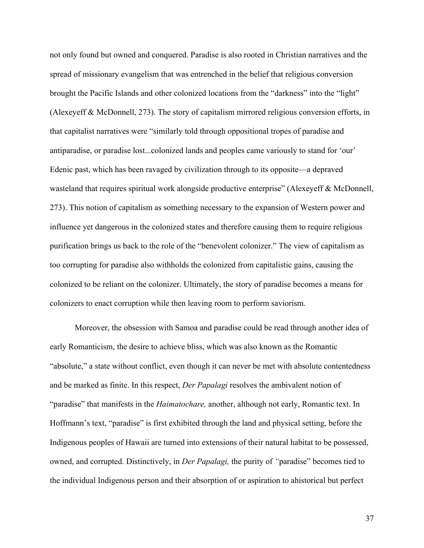not only found but owned and conquered. Paradise is also rooted in Christian narratives and the spread of missionary evangelism that was entrenched in the belief that religious conversion brought the Pacific Islands and other colonized locations from the "darkness" into the "light" (Alexeyeff & McDonnell, 273). The story of capitalism mirrored religious conversion efforts, in that capitalist narratives were "similarly told through oppositional tropes of paradise and antiparadise, or paradise lost...colonized lands and peoples came variously to stand for 'our' Edenic past, which has been ravaged by civilization through to its opposite—a depraved wasteland that requires spiritual work alongside productive enterprise" (Alexeyeff & McDonnell, 273). This notion of capitalism as something necessary to the expansion of Western power and influence yet dangerous in the colonized states and therefore causing them to require religious purification brings us back to the role of the "benevolent colonizer." The view of capitalism as too corrupting for paradise also withholds the colonized from capitalistic gains, causing the colonized to be reliant on the colonizer. Ultimately, the story of paradise becomes a means for colonizers to enact corruption while then leaving room to perform saviorism.

Moreover, the obsession with Samoa and paradise could be read through another idea of early Romanticism, the desire to achieve bliss, which was also known as the Romantic "absolute," a state without conflict, even though it can never be met with absolute contentedness and be marked as finite. In this respect, *Der Papalagi* resolves the ambivalent notion of "paradise" that manifests in the *Haimatochare,* another, although not early, Romantic text. In Hoffmann's text, "paradise" is first exhibited through the land and physical setting, before the Indigenous peoples of Hawaii are turned into extensions of their natural habitat to be possessed, owned, and corrupted. Distinctively, in *Der Papalagi,* the purity of *"*paradise" becomes tied to the individual Indigenous person and their absorption of or aspiration to ahistorical but perfect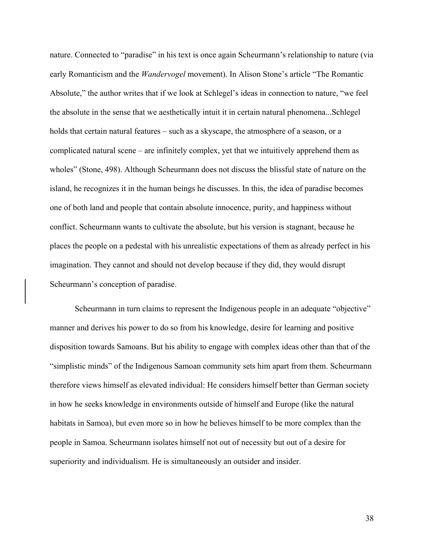nature. Connected to "paradise" in his text is once again Scheurmann's relationship to nature (via early Romanticism and the *Wandervogel* movement). In Alison Stone's article "The Romantic Absolute," the author writes that if we look at Schlegel's ideas in connection to nature, "we feel the absolute in the sense that we aesthetically intuit it in certain natural phenomena...Schlegel holds that certain natural features – such as a skyscape, the atmosphere of a season, or a complicated natural scene – are infinitely complex, yet that we intuitively apprehend them as wholes" (Stone, 498). Although Scheurmann does not discuss the blissful state of nature on the island, he recognizes it in the human beings he discusses. In this, the idea of paradise becomes one of both land and people that contain absolute innocence, purity, and happiness without conflict. Scheurmann wants to cultivate the absolute, but his version is stagnant, because he places the people on a pedestal with his unrealistic expectations of them as already perfect in his imagination. They cannot and should not develop because if they did, they would disrupt Scheurmann's conception of paradise.

Scheurmann in turn claims to represent the Indigenous people in an adequate "objective" manner and derives his power to do so from his knowledge, desire for learning and positive disposition towards Samoans. But his ability to engage with complex ideas other than that of the "simplistic minds" of the Indigenous Samoan community sets him apart from them. Scheurmann therefore views himself as elevated individual: He considers himself better than German society in how he seeks knowledge in environments outside of himself and Europe (like the natural habitats in Samoa), but even more so in how he believes himself to be more complex than the people in Samoa. Scheurmann isolates himself not out of necessity but out of a desire for superiority and individualism. He is simultaneously an outsider and insider.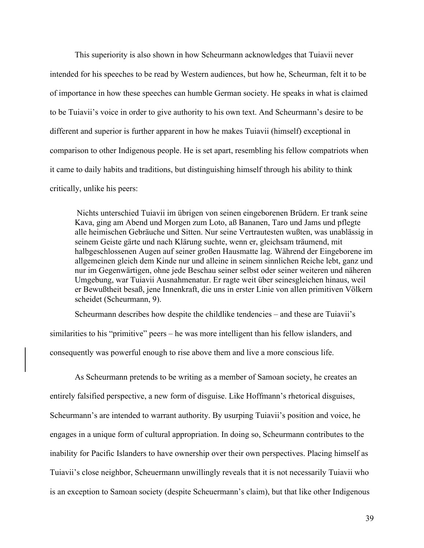This superiority is also shown in how Scheurmann acknowledges that Tuiavii never intended for his speeches to be read by Western audiences, but how he, Scheurman, felt it to be of importance in how these speeches can humble German society. He speaks in what is claimed to be Tuiavii's voice in order to give authority to his own text. And Scheurmann's desire to be different and superior is further apparent in how he makes Tuiavii (himself) exceptional in comparison to other Indigenous people. He is set apart, resembling his fellow compatriots when it came to daily habits and traditions, but distinguishing himself through his ability to think critically, unlike his peers:

Nichts unterschied Tuiavii im übrigen von seinen eingeborenen Brüdern. Er trank seine Kava, ging am Abend und Morgen zum Loto, aß Bananen, Taro und Jams und pflegte alle heimischen Gebräuche und Sitten. Nur seine Vertrautesten wußten, was unablässig in seinem Geiste gärte und nach Klärung suchte, wenn er, gleichsam träumend, mit halbgeschlossenen Augen auf seiner großen Hausmatte lag. Während der Eingeborene im allgemeinen gleich dem Kinde nur und alleine in seinem sinnlichen Reiche lebt, ganz und nur im Gegenwärtigen, ohne jede Beschau seiner selbst oder seiner weiteren und näheren Umgebung, war Tuiavii Ausnahmenatur. Er ragte weit über seinesgleichen hinaus, weil er Bewußtheit besaß, jene Innenkraft, die uns in erster Linie von allen primitiven Völkern scheidet (Scheurmann, 9).

Scheurmann describes how despite the childlike tendencies – and these are Tuiavii's similarities to his "primitive" peers – he was more intelligent than his fellow islanders, and consequently was powerful enough to rise above them and live a more conscious life.

As Scheurmann pretends to be writing as a member of Samoan society, he creates an entirely falsified perspective, a new form of disguise. Like Hoffmann's rhetorical disguises, Scheurmann's are intended to warrant authority. By usurping Tuiavii's position and voice, he engages in a unique form of cultural appropriation. In doing so, Scheurmann contributes to the inability for Pacific Islanders to have ownership over their own perspectives. Placing himself as Tuiavii's close neighbor, Scheuermann unwillingly reveals that it is not necessarily Tuiavii who is an exception to Samoan society (despite Scheuermann's claim), but that like other Indigenous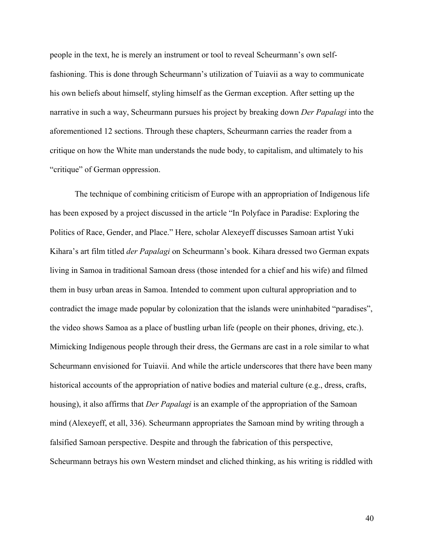people in the text, he is merely an instrument or tool to reveal Scheurmann's own selffashioning. This is done through Scheurmann's utilization of Tuiavii as a way to communicate his own beliefs about himself, styling himself as the German exception. After setting up the narrative in such a way, Scheurmann pursues his project by breaking down *Der Papalagi* into the aforementioned 12 sections. Through these chapters, Scheurmann carries the reader from a critique on how the White man understands the nude body, to capitalism, and ultimately to his "critique" of German oppression.

The technique of combining criticism of Europe with an appropriation of Indigenous life has been exposed by a project discussed in the article "In Polyface in Paradise: Exploring the Politics of Race, Gender, and Place." Here, scholar Alexeyeff discusses Samoan artist Yuki Kihara's art film titled *der Papalagi* on Scheurmann's book. Kihara dressed two German expats living in Samoa in traditional Samoan dress (those intended for a chief and his wife) and filmed them in busy urban areas in Samoa. Intended to comment upon cultural appropriation and to contradict the image made popular by colonization that the islands were uninhabited "paradises", the video shows Samoa as a place of bustling urban life (people on their phones, driving, etc.). Mimicking Indigenous people through their dress, the Germans are cast in a role similar to what Scheurmann envisioned for Tuiavii. And while the article underscores that there have been many historical accounts of the appropriation of native bodies and material culture (e.g., dress, crafts, housing), it also affirms that *Der Papalagi* is an example of the appropriation of the Samoan mind (Alexeyeff, et all, 336). Scheurmann appropriates the Samoan mind by writing through a falsified Samoan perspective. Despite and through the fabrication of this perspective, Scheurmann betrays his own Western mindset and cliched thinking, as his writing is riddled with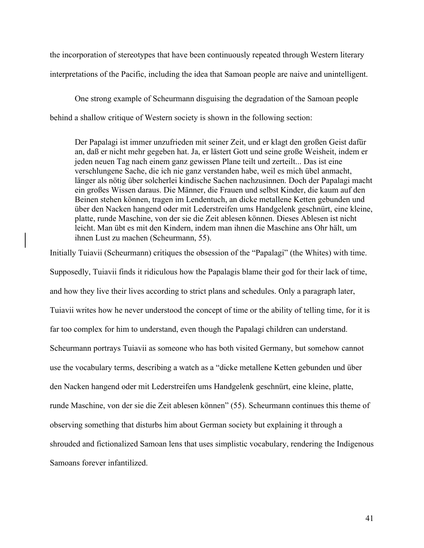the incorporation of stereotypes that have been continuously repeated through Western literary interpretations of the Pacific, including the idea that Samoan people are naive and unintelligent.

One strong example of Scheurmann disguising the degradation of the Samoan people behind a shallow critique of Western society is shown in the following section:

Der Papalagi ist immer unzufrieden mit seiner Zeit, und er klagt den großen Geist dafür an, daß er nicht mehr gegeben hat. Ja, er lästert Gott und seine große Weisheit, indem er jeden neuen Tag nach einem ganz gewissen Plane teilt und zerteilt... Das ist eine verschlungene Sache, die ich nie ganz verstanden habe, weil es mich übel anmacht, länger als nötig über solcherlei kindische Sachen nachzusinnen. Doch der Papalagi macht ein großes Wissen daraus. Die Männer, die Frauen und selbst Kinder, die kaum auf den Beinen stehen können, tragen im Lendentuch, an dicke metallene Ketten gebunden und über den Nacken hangend oder mit Lederstreifen ums Handgelenk geschnürt, eine kleine, platte, runde Maschine, von der sie die Zeit ablesen können. Dieses Ablesen ist nicht leicht. Man übt es mit den Kindern, indem man ihnen die Maschine ans Ohr hält, um ihnen Lust zu machen (Scheurmann, 55).

Initially Tuiavii (Scheurmann) critiques the obsession of the "Papalagi" (the Whites) with time. Supposedly, Tuiavii finds it ridiculous how the Papalagis blame their god for their lack of time, and how they live their lives according to strict plans and schedules. Only a paragraph later, Tuiavii writes how he never understood the concept of time or the ability of telling time, for it is far too complex for him to understand, even though the Papalagi children can understand. Scheurmann portrays Tuiavii as someone who has both visited Germany, but somehow cannot use the vocabulary terms, describing a watch as a "dicke metallene Ketten gebunden und über den Nacken hangend oder mit Lederstreifen ums Handgelenk geschnürt, eine kleine, platte, runde Maschine, von der sie die Zeit ablesen können" (55). Scheurmann continues this theme of observing something that disturbs him about German society but explaining it through a shrouded and fictionalized Samoan lens that uses simplistic vocabulary, rendering the Indigenous Samoans forever infantilized.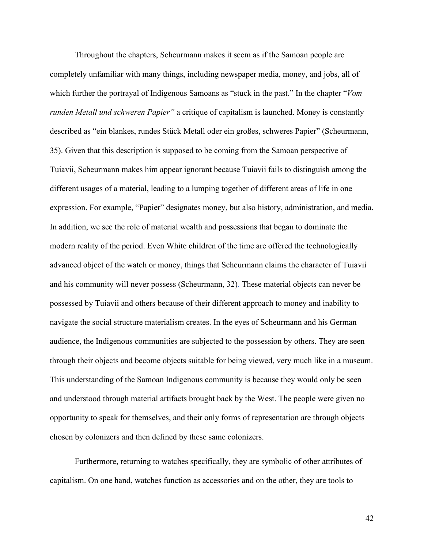Throughout the chapters, Scheurmann makes it seem as if the Samoan people are completely unfamiliar with many things, including newspaper media, money, and jobs, all of which further the portrayal of Indigenous Samoans as "stuck in the past." In the chapter "*Vom runden Metall und schweren Papier"* a critique of capitalism is launched. Money is constantly described as "ein blankes, rundes Stück Metall oder ein großes, schweres Papier" (Scheurmann, 35). Given that this description is supposed to be coming from the Samoan perspective of Tuiavii, Scheurmann makes him appear ignorant because Tuiavii fails to distinguish among the different usages of a material, leading to a lumping together of different areas of life in one expression. For example, "Papier" designates money, but also history, administration, and media. In addition, we see the role of material wealth and possessions that began to dominate the modern reality of the period. Even White children of the time are offered the technologically advanced object of the watch or money, things that Scheurmann claims the character of Tuiavii and his community will never possess (Scheurmann, 32). These material objects can never be possessed by Tuiavii and others because of their different approach to money and inability to navigate the social structure materialism creates. In the eyes of Scheurmann and his German audience, the Indigenous communities are subjected to the possession by others. They are seen through their objects and become objects suitable for being viewed, very much like in a museum. This understanding of the Samoan Indigenous community is because they would only be seen and understood through material artifacts brought back by the West. The people were given no opportunity to speak for themselves, and their only forms of representation are through objects chosen by colonizers and then defined by these same colonizers.

Furthermore, returning to watches specifically, they are symbolic of other attributes of capitalism. On one hand, watches function as accessories and on the other, they are tools to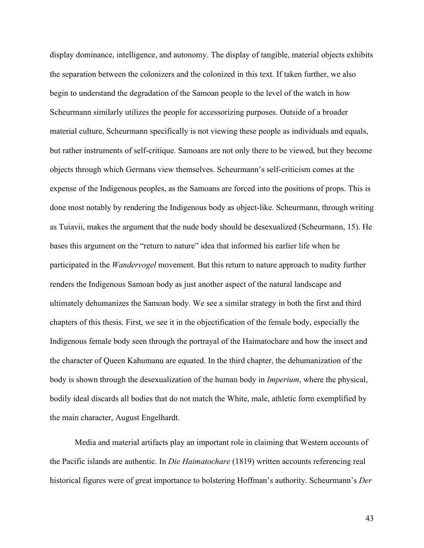display dominance, intelligence, and autonomy. The display of tangible, material objects exhibits the separation between the colonizers and the colonized in this text. If taken further, we also begin to understand the degradation of the Samoan people to the level of the watch in how Scheurmann similarly utilizes the people for accessorizing purposes. Outside of a broader material culture, Scheurmann specifically is not viewing these people as individuals and equals, but rather instruments of self-critique. Samoans are not only there to be viewed, but they become objects through which Germans view themselves. Scheurmann's self-criticism comes at the expense of the Indigenous peoples, as the Samoans are forced into the positions of props. This is done most notably by rendering the Indigenous body as object-like. Scheurmann, through writing as Tuiavii, makes the argument that the nude body should be desexualized (Scheurmann, 15). He bases this argument on the "return to nature" idea that informed his earlier life when he participated in the *Wandervogel* movement. But this return to nature approach to nudity further renders the Indigenous Samoan body as just another aspect of the natural landscape and ultimately dehumanizes the Samoan body. We see a similar strategy in both the first and third chapters of this thesis. First, we see it in the objectification of the female body, especially the Indigenous female body seen through the portrayal of the Haimatochare and how the insect and the character of Queen Kahumanu are equated. In the third chapter, the dehumanization of the body is shown through the desexualization of the human body in *Imperium*, where the physical, bodily ideal discards all bodies that do not match the White, male, athletic form exemplified by the main character, August Engelhardt.

Media and material artifacts play an important role in claiming that Western accounts of the Pacific islands are authentic. In *Die Haimatochare* (1819) written accounts referencing real historical figures were of great importance to bolstering Hoffman's authority. Scheurmann's *Der*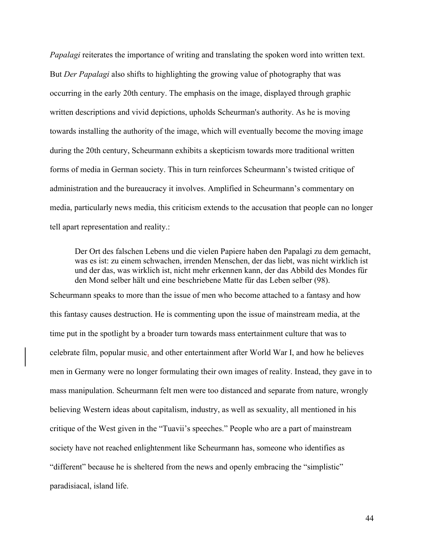*Papalagi* reiterates the importance of writing and translating the spoken word into written text. But *Der Papalagi* also shifts to highlighting the growing value of photography that was occurring in the early 20th century. The emphasis on the image, displayed through graphic written descriptions and vivid depictions, upholds Scheurman's authority. As he is moving towards installing the authority of the image, which will eventually become the moving image during the 20th century, Scheurmann exhibits a skepticism towards more traditional written forms of media in German society. This in turn reinforces Scheurmann's twisted critique of administration and the bureaucracy it involves. Amplified in Scheurmann's commentary on media, particularly news media, this criticism extends to the accusation that people can no longer tell apart representation and reality.:

Der Ort des falschen Lebens und die vielen Papiere haben den Papalagi zu dem gemacht, was es ist: zu einem schwachen, irrenden Menschen, der das liebt, was nicht wirklich ist und der das, was wirklich ist, nicht mehr erkennen kann, der das Abbild des Mondes für den Mond selber hält und eine beschriebene Matte für das Leben selber (98).

Scheurmann speaks to more than the issue of men who become attached to a fantasy and how this fantasy causes destruction. He is commenting upon the issue of mainstream media, at the time put in the spotlight by a broader turn towards mass entertainment culture that was to celebrate film, popular music, and other entertainment after World War I, and how he believes men in Germany were no longer formulating their own images of reality. Instead, they gave in to mass manipulation. Scheurmann felt men were too distanced and separate from nature, wrongly believing Western ideas about capitalism, industry, as well as sexuality, all mentioned in his critique of the West given in the "Tuavii's speeches." People who are a part of mainstream society have not reached enlightenment like Scheurmann has, someone who identifies as "different" because he is sheltered from the news and openly embracing the "simplistic" paradisiacal, island life.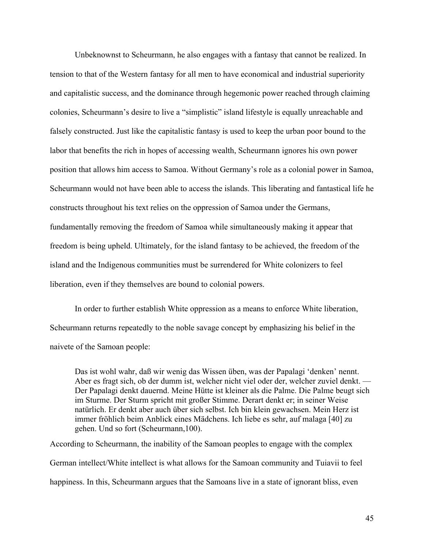Unbeknownst to Scheurmann, he also engages with a fantasy that cannot be realized. In tension to that of the Western fantasy for all men to have economical and industrial superiority and capitalistic success, and the dominance through hegemonic power reached through claiming colonies, Scheurmann's desire to live a "simplistic" island lifestyle is equally unreachable and falsely constructed. Just like the capitalistic fantasy is used to keep the urban poor bound to the labor that benefits the rich in hopes of accessing wealth, Scheurmann ignores his own power position that allows him access to Samoa. Without Germany's role as a colonial power in Samoa, Scheurmann would not have been able to access the islands. This liberating and fantastical life he constructs throughout his text relies on the oppression of Samoa under the Germans, fundamentally removing the freedom of Samoa while simultaneously making it appear that freedom is being upheld. Ultimately, for the island fantasy to be achieved, the freedom of the island and the Indigenous communities must be surrendered for White colonizers to feel liberation, even if they themselves are bound to colonial powers.

In order to further establish White oppression as a means to enforce White liberation, Scheurmann returns repeatedly to the noble savage concept by emphasizing his belief in the naivete of the Samoan people:

Das ist wohl wahr, daß wir wenig das Wissen üben, was der Papalagi 'denken' nennt. Aber es fragt sich, ob der dumm ist, welcher nicht viel oder der, welcher zuviel denkt. — Der Papalagi denkt dauernd. Meine Hütte ist kleiner als die Palme. Die Palme beugt sich im Sturme. Der Sturm spricht mit großer Stimme. Derart denkt er; in seiner Weise natürlich. Er denkt aber auch über sich selbst. Ich bin klein gewachsen. Mein Herz ist immer fröhlich beim Anblick eines Mädchens. Ich liebe es sehr, auf malaga [40] zu gehen. Und so fort (Scheurmann,100).

According to Scheurmann, the inability of the Samoan peoples to engage with the complex German intellect/White intellect is what allows for the Samoan community and Tuiavii to feel happiness. In this, Scheurmann argues that the Samoans live in a state of ignorant bliss, even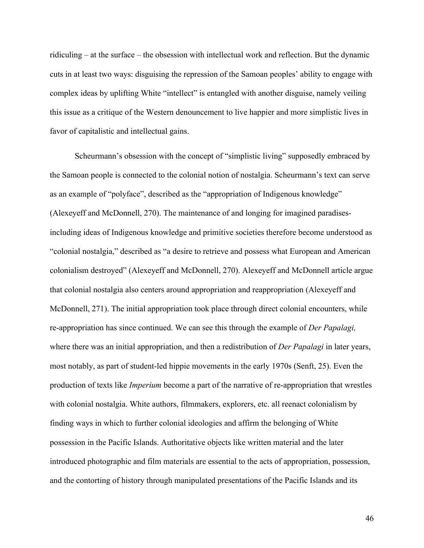ridiculing – at the surface – the obsession with intellectual work and reflection. But the dynamic cuts in at least two ways: disguising the repression of the Samoan peoples' ability to engage with complex ideas by uplifting White "intellect" is entangled with another disguise, namely veiling this issue as a critique of the Western denouncement to live happier and more simplistic lives in favor of capitalistic and intellectual gains.

Scheurmann's obsession with the concept of "simplistic living" supposedly embraced by the Samoan people is connected to the colonial notion of nostalgia. Scheurmann's text can serve as an example of "polyface", described as the "appropriation of Indigenous knowledge" (Alexeyeff and McDonnell, 270). The maintenance of and longing for imagined paradisesincluding ideas of Indigenous knowledge and primitive societies therefore become understood as "colonial nostalgia," described as "a desire to retrieve and possess what European and American colonialism destroyed" (Alexeyeff and McDonnell, 270). Alexeyeff and McDonnell article argue that colonial nostalgia also centers around appropriation and reappropriation (Alexeyeff and McDonnell, 271). The initial appropriation took place through direct colonial encounters, while re-appropriation has since continued. We can see this through the example of *Der Papalagi,*  where there was an initial appropriation, and then a redistribution of *Der Papalagi* in later years, most notably, as part of student-led hippie movements in the early 1970s (Senft, 25). Even the production of texts like *Imperium* become a part of the narrative of re-appropriation that wrestles with colonial nostalgia. White authors, filmmakers, explorers, etc. all reenact colonialism by finding ways in which to further colonial ideologies and affirm the belonging of White possession in the Pacific Islands. Authoritative objects like written material and the later introduced photographic and film materials are essential to the acts of appropriation, possession, and the contorting of history through manipulated presentations of the Pacific Islands and its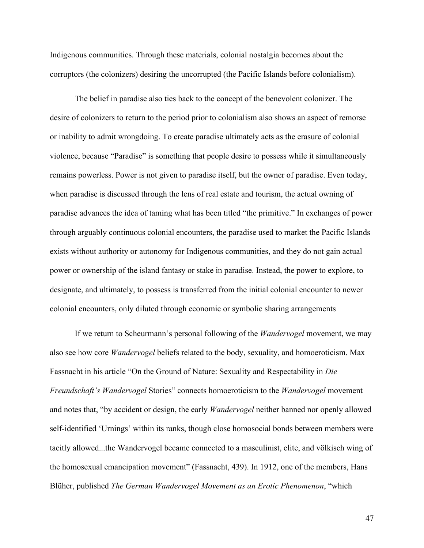Indigenous communities. Through these materials, colonial nostalgia becomes about the corruptors (the colonizers) desiring the uncorrupted (the Pacific Islands before colonialism).

The belief in paradise also ties back to the concept of the benevolent colonizer. The desire of colonizers to return to the period prior to colonialism also shows an aspect of remorse or inability to admit wrongdoing. To create paradise ultimately acts as the erasure of colonial violence, because "Paradise" is something that people desire to possess while it simultaneously remains powerless. Power is not given to paradise itself, but the owner of paradise. Even today, when paradise is discussed through the lens of real estate and tourism, the actual owning of paradise advances the idea of taming what has been titled "the primitive." In exchanges of power through arguably continuous colonial encounters, the paradise used to market the Pacific Islands exists without authority or autonomy for Indigenous communities, and they do not gain actual power or ownership of the island fantasy or stake in paradise. Instead, the power to explore, to designate, and ultimately, to possess is transferred from the initial colonial encounter to newer colonial encounters, only diluted through economic or symbolic sharing arrangements

If we return to Scheurmann's personal following of the *Wandervogel* movement, we may also see how core *Wandervogel* beliefs related to the body, sexuality, and homoeroticism. Max Fassnacht in his article "On the Ground of Nature: Sexuality and Respectability in *Die Freundschaft's Wandervogel* Stories" connects homoeroticism to the *Wandervogel* movement and notes that, "by accident or design, the early *Wandervogel* neither banned nor openly allowed self-identified 'Urnings' within its ranks, though close homosocial bonds between members were tacitly allowed...the Wandervogel became connected to a masculinist, elite, and völkisch wing of the homosexual emancipation movement" (Fassnacht, 439). In 1912, one of the members, Hans Blüher, published *The German Wandervogel Movement as an Erotic Phenomenon*, "which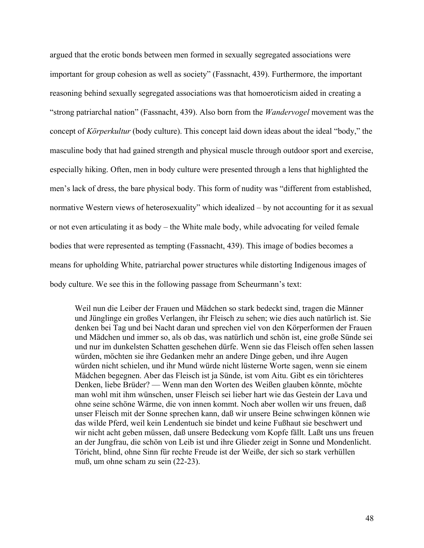argued that the erotic bonds between men formed in sexually segregated associations were important for group cohesion as well as society" (Fassnacht, 439). Furthermore, the important reasoning behind sexually segregated associations was that homoeroticism aided in creating a "strong patriarchal nation" (Fassnacht, 439). Also born from the *Wandervogel* movement was the concept of *Körperkultur* (body culture). This concept laid down ideas about the ideal "body," the masculine body that had gained strength and physical muscle through outdoor sport and exercise, especially hiking. Often, men in body culture were presented through a lens that highlighted the men's lack of dress, the bare physical body. This form of nudity was "different from established, normative Western views of heterosexuality" which idealized – by not accounting for it as sexual or not even articulating it as body – the White male body, while advocating for veiled female bodies that were represented as tempting (Fassnacht, 439). This image of bodies becomes a means for upholding White, patriarchal power structures while distorting Indigenous images of body culture. We see this in the following passage from Scheurmann's text:

Weil nun die Leiber der Frauen und Mädchen so stark bedeckt sind, tragen die Männer und Jünglinge ein großes Verlangen, ihr Fleisch zu sehen; wie dies auch natürlich ist. Sie denken bei Tag und bei Nacht daran und sprechen viel von den Körperformen der Frauen und Mädchen und immer so, als ob das, was natürlich und schön ist, eine große Sünde sei und nur im dunkelsten Schatten geschehen dürfe. Wenn sie das Fleisch offen sehen lassen würden, möchten sie ihre Gedanken mehr an andere Dinge geben, und ihre Augen würden nicht schielen, und ihr Mund würde nicht lüsterne Worte sagen, wenn sie einem Mädchen begegnen. Aber das Fleisch ist ja Sünde, ist vom Aitu. Gibt es ein törichteres Denken, liebe Brüder? — Wenn man den Worten des Weißen glauben könnte, möchte man wohl mit ihm wünschen, unser Fleisch sei lieber hart wie das Gestein der Lava und ohne seine schöne Wärme, die von innen kommt. Noch aber wollen wir uns freuen, daß unser Fleisch mit der Sonne sprechen kann, daß wir unsere Beine schwingen können wie das wilde Pferd, weil kein Lendentuch sie bindet und keine Fußhaut sie beschwert und wir nicht acht geben müssen, daß unsere Bedeckung vom Kopfe fällt. Laßt uns uns freuen an der Jungfrau, die schön von Leib ist und ihre Glieder zeigt in Sonne und Mondenlicht. Töricht, blind, ohne Sinn für rechte Freude ist der Weiße, der sich so stark verhüllen muß, um ohne scham zu sein (22-23).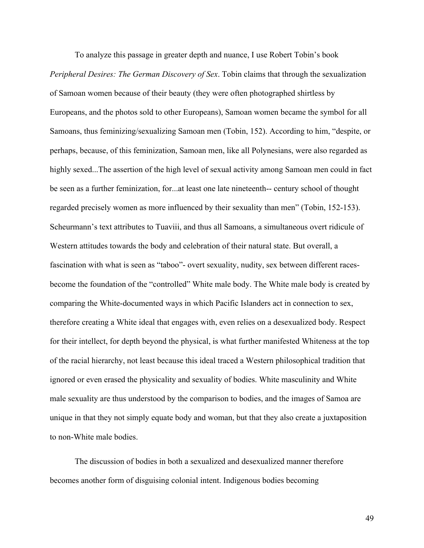To analyze this passage in greater depth and nuance, I use Robert Tobin's book *Peripheral Desires: The German Discovery of Sex*. Tobin claims that through the sexualization of Samoan women because of their beauty (they were often photographed shirtless by Europeans, and the photos sold to other Europeans), Samoan women became the symbol for all Samoans, thus feminizing/sexualizing Samoan men (Tobin, 152). According to him, "despite, or perhaps, because, of this feminization, Samoan men, like all Polynesians, were also regarded as highly sexed...The assertion of the high level of sexual activity among Samoan men could in fact be seen as a further feminization, for...at least one late nineteenth-- century school of thought regarded precisely women as more influenced by their sexuality than men" (Tobin, 152-153). Scheurmann's text attributes to Tuaviii, and thus all Samoans, a simultaneous overt ridicule of Western attitudes towards the body and celebration of their natural state. But overall, a fascination with what is seen as "taboo"- overt sexuality, nudity, sex between different racesbecome the foundation of the "controlled" White male body. The White male body is created by comparing the White-documented ways in which Pacific Islanders act in connection to sex, therefore creating a White ideal that engages with, even relies on a desexualized body. Respect for their intellect, for depth beyond the physical, is what further manifested Whiteness at the top of the racial hierarchy, not least because this ideal traced a Western philosophical tradition that ignored or even erased the physicality and sexuality of bodies. White masculinity and White male sexuality are thus understood by the comparison to bodies, and the images of Samoa are unique in that they not simply equate body and woman, but that they also create a juxtaposition to non-White male bodies.

The discussion of bodies in both a sexualized and desexualized manner therefore becomes another form of disguising colonial intent. Indigenous bodies becoming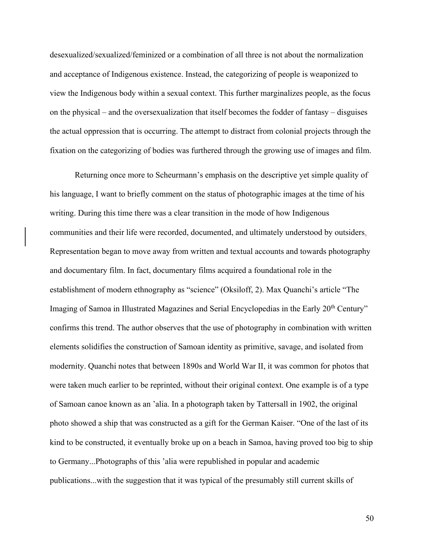desexualized/sexualized/feminized or a combination of all three is not about the normalization and acceptance of Indigenous existence. Instead, the categorizing of people is weaponized to view the Indigenous body within a sexual context. This further marginalizes people, as the focus on the physical – and the oversexualization that itself becomes the fodder of fantasy – disguises the actual oppression that is occurring. The attempt to distract from colonial projects through the fixation on the categorizing of bodies was furthered through the growing use of images and film.

Returning once more to Scheurmann's emphasis on the descriptive yet simple quality of his language, I want to briefly comment on the status of photographic images at the time of his writing. During this time there was a clear transition in the mode of how Indigenous communities and their life were recorded, documented, and ultimately understood by outsiders. Representation began to move away from written and textual accounts and towards photography and documentary film. In fact, documentary films acquired a foundational role in the establishment of modern ethnography as "science" (Oksiloff, 2). Max Quanchi's article "The Imaging of Samoa in Illustrated Magazines and Serial Encyclopedias in the Early 20<sup>th</sup> Century" confirms this trend. The author observes that the use of photography in combination with written elements solidifies the construction of Samoan identity as primitive, savage, and isolated from modernity. Quanchi notes that between 1890s and World War II, it was common for photos that were taken much earlier to be reprinted, without their original context. One example is of a type of Samoan canoe known as an 'alia. In a photograph taken by Tattersall in 1902, the original photo showed a ship that was constructed as a gift for the German Kaiser. "One of the last of its kind to be constructed, it eventually broke up on a beach in Samoa, having proved too big to ship to Germany...Photographs of this 'alia were republished in popular and academic publications...with the suggestion that it was typical of the presumably still current skills of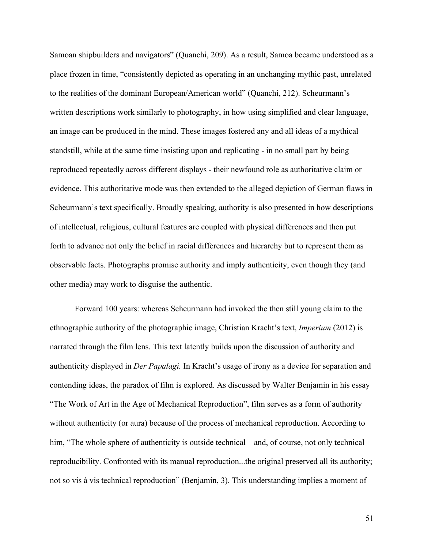Samoan shipbuilders and navigators" (Quanchi, 209). As a result, Samoa became understood as a place frozen in time, "consistently depicted as operating in an unchanging mythic past, unrelated to the realities of the dominant European/American world" (Quanchi, 212). Scheurmann's written descriptions work similarly to photography, in how using simplified and clear language, an image can be produced in the mind. These images fostered any and all ideas of a mythical standstill, while at the same time insisting upon and replicating - in no small part by being reproduced repeatedly across different displays - their newfound role as authoritative claim or evidence. This authoritative mode was then extended to the alleged depiction of German flaws in Scheurmann's text specifically. Broadly speaking, authority is also presented in how descriptions of intellectual, religious, cultural features are coupled with physical differences and then put forth to advance not only the belief in racial differences and hierarchy but to represent them as observable facts. Photographs promise authority and imply authenticity, even though they (and other media) may work to disguise the authentic.

Forward 100 years: whereas Scheurmann had invoked the then still young claim to the ethnographic authority of the photographic image, Christian Kracht's text, *Imperium* (2012) is narrated through the film lens. This text latently builds upon the discussion of authority and authenticity displayed in *Der Papalagi.* In Kracht's usage of irony as a device for separation and contending ideas, the paradox of film is explored. As discussed by Walter Benjamin in his essay "The Work of Art in the Age of Mechanical Reproduction", film serves as a form of authority without authenticity (or aura) because of the process of mechanical reproduction. According to him, "The whole sphere of authenticity is outside technical—and, of course, not only technical reproducibility. Confronted with its manual reproduction...the original preserved all its authority; not so vis à vis technical reproduction" (Benjamin, 3). This understanding implies a moment of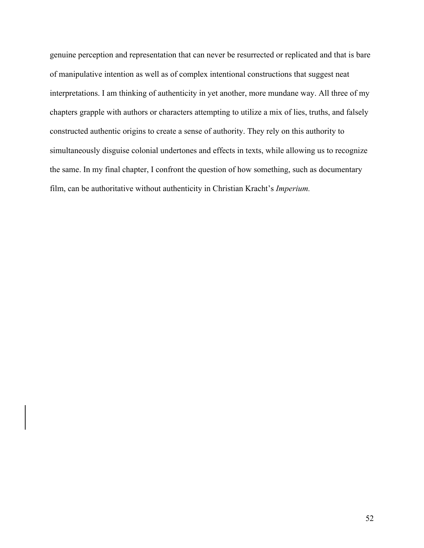genuine perception and representation that can never be resurrected or replicated and that is bare of manipulative intention as well as of complex intentional constructions that suggest neat interpretations. I am thinking of authenticity in yet another, more mundane way. All three of my chapters grapple with authors or characters attempting to utilize a mix of lies, truths, and falsely constructed authentic origins to create a sense of authority. They rely on this authority to simultaneously disguise colonial undertones and effects in texts, while allowing us to recognize the same. In my final chapter, I confront the question of how something, such as documentary film, can be authoritative without authenticity in Christian Kracht's *Imperium.*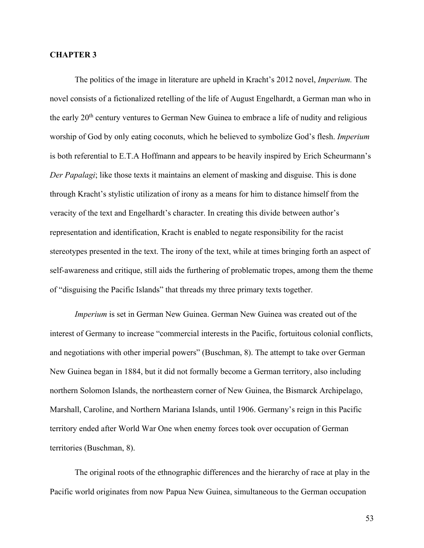## **CHAPTER 3**

The politics of the image in literature are upheld in Kracht's 2012 novel, *Imperium.* The novel consists of a fictionalized retelling of the life of August Engelhardt, a German man who in the early  $20<sup>th</sup>$  century ventures to German New Guinea to embrace a life of nudity and religious worship of God by only eating coconuts, which he believed to symbolize God's flesh. *Imperium*  is both referential to E.T.A Hoffmann and appears to be heavily inspired by Erich Scheurmann's *Der Papalagi*; like those texts it maintains an element of masking and disguise. This is done through Kracht's stylistic utilization of irony as a means for him to distance himself from the veracity of the text and Engelhardt's character. In creating this divide between author's representation and identification, Kracht is enabled to negate responsibility for the racist stereotypes presented in the text. The irony of the text, while at times bringing forth an aspect of self-awareness and critique, still aids the furthering of problematic tropes, among them the theme of "disguising the Pacific Islands" that threads my three primary texts together.

*Imperium* is set in German New Guinea. German New Guinea was created out of the interest of Germany to increase "commercial interests in the Pacific, fortuitous colonial conflicts, and negotiations with other imperial powers" (Buschman, 8). The attempt to take over German New Guinea began in 1884, but it did not formally become a German territory, also including northern Solomon Islands, the northeastern corner of New Guinea, the Bismarck Archipelago, Marshall, Caroline, and Northern Mariana Islands, until 1906. Germany's reign in this Pacific territory ended after World War One when enemy forces took over occupation of German territories (Buschman, 8).

The original roots of the ethnographic differences and the hierarchy of race at play in the Pacific world originates from now Papua New Guinea, simultaneous to the German occupation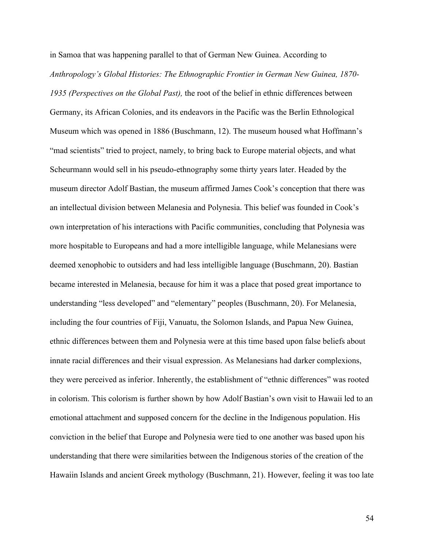in Samoa that was happening parallel to that of German New Guinea. According to *Anthropology's Global Histories: The Ethnographic Frontier in German New Guinea, 1870- 1935 (Perspectives on the Global Past),* the root of the belief in ethnic differences between Germany, its African Colonies, and its endeavors in the Pacific was the Berlin Ethnological Museum which was opened in 1886 (Buschmann, 12). The museum housed what Hoffmann's "mad scientists" tried to project, namely, to bring back to Europe material objects, and what Scheurmann would sell in his pseudo-ethnography some thirty years later. Headed by the museum director Adolf Bastian, the museum affirmed James Cook's conception that there was an intellectual division between Melanesia and Polynesia. This belief was founded in Cook's own interpretation of his interactions with Pacific communities, concluding that Polynesia was more hospitable to Europeans and had a more intelligible language, while Melanesians were deemed xenophobic to outsiders and had less intelligible language (Buschmann, 20). Bastian became interested in Melanesia, because for him it was a place that posed great importance to understanding "less developed" and "elementary" peoples (Buschmann, 20). For Melanesia, including the four countries of Fiji, Vanuatu, the Solomon Islands, and Papua New Guinea, ethnic differences between them and Polynesia were at this time based upon false beliefs about innate racial differences and their visual expression. As Melanesians had darker complexions, they were perceived as inferior. Inherently, the establishment of "ethnic differences" was rooted in colorism. This colorism is further shown by how Adolf Bastian's own visit to Hawaii led to an emotional attachment and supposed concern for the decline in the Indigenous population. His conviction in the belief that Europe and Polynesia were tied to one another was based upon his understanding that there were similarities between the Indigenous stories of the creation of the Hawaiin Islands and ancient Greek mythology (Buschmann, 21). However, feeling it was too late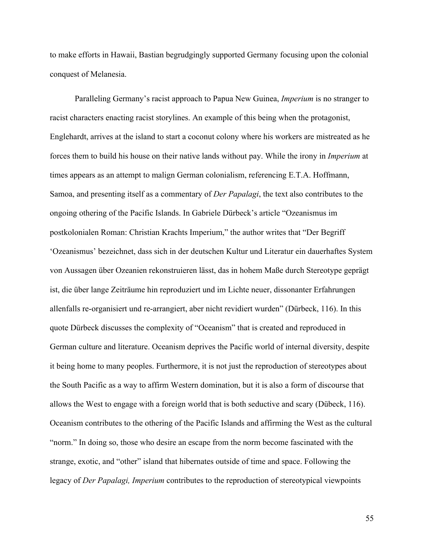to make efforts in Hawaii, Bastian begrudgingly supported Germany focusing upon the colonial conquest of Melanesia.

Paralleling Germany's racist approach to Papua New Guinea, *Imperium* is no stranger to racist characters enacting racist storylines. An example of this being when the protagonist, Englehardt, arrives at the island to start a coconut colony where his workers are mistreated as he forces them to build his house on their native lands without pay. While the irony in *Imperium* at times appears as an attempt to malign German colonialism, referencing E.T.A. Hoffmann, Samoa, and presenting itself as a commentary of *Der Papalagi*, the text also contributes to the ongoing othering of the Pacific Islands. In Gabriele Dürbeck's article "Ozeanismus im postkolonialen Roman: Christian Krachts Imperium," the author writes that "Der Begriff 'Ozeanismus' bezeichnet, dass sich in der deutschen Kultur und Literatur ein dauerhaftes System von Aussagen über Ozeanien rekonstruieren lässt, das in hohem Maße durch Stereotype geprägt ist, die über lange Zeiträume hin reproduziert und im Lichte neuer, dissonanter Erfahrungen allenfalls re-organisiert und re-arrangiert, aber nicht revidiert wurden" (Dürbeck, 116). In this quote Dürbeck discusses the complexity of "Oceanism" that is created and reproduced in German culture and literature. Oceanism deprives the Pacific world of internal diversity, despite it being home to many peoples. Furthermore, it is not just the reproduction of stereotypes about the South Pacific as a way to affirm Western domination, but it is also a form of discourse that allows the West to engage with a foreign world that is both seductive and scary (Dübeck, 116). Oceanism contributes to the othering of the Pacific Islands and affirming the West as the cultural "norm." In doing so, those who desire an escape from the norm become fascinated with the strange, exotic, and "other" island that hibernates outside of time and space. Following the legacy of *Der Papalagi, Imperium* contributes to the reproduction of stereotypical viewpoints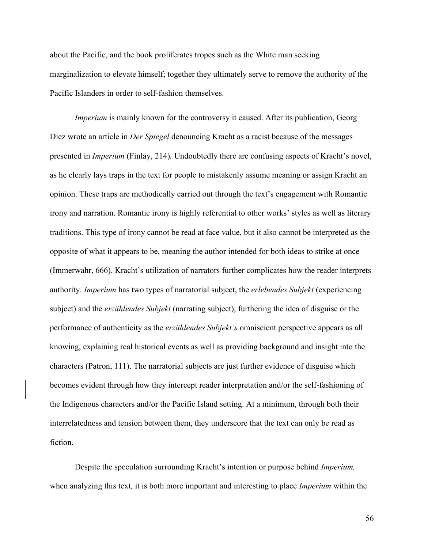about the Pacific, and the book proliferates tropes such as the White man seeking marginalization to elevate himself; together they ultimately serve to remove the authority of the Pacific Islanders in order to self-fashion themselves.

*Imperium* is mainly known for the controversy it caused. After its publication, Georg Diez wrote an article in *Der Spiegel* denouncing Kracht as a racist because of the messages presented in *Imperium* (Finlay, 214)*.* Undoubtedly there are confusing aspects of Kracht's novel, as he clearly lays traps in the text for people to mistakenly assume meaning or assign Kracht an opinion. These traps are methodically carried out through the text's engagement with Romantic irony and narration. Romantic irony is highly referential to other works' styles as well as literary traditions. This type of irony cannot be read at face value, but it also cannot be interpreted as the opposite of what it appears to be, meaning the author intended for both ideas to strike at once (Immerwahr, 666). Kracht's utilization of narrators further complicates how the reader interprets authority. *Imperium* has two types of narratorial subject, the *erlebendes Subjekt* (experiencing subject) and the *erzählendes Subjekt* (narrating subject), furthering the idea of disguise or the performance of authenticity as the *erzählendes Subjekt's* omniscient perspective appears as all knowing, explaining real historical events as well as providing background and insight into the characters (Patron, 111). The narratorial subjects are just further evidence of disguise which becomes evident through how they intercept reader interpretation and/or the self-fashioning of the Indigenous characters and/or the Pacific Island setting. At a minimum, through both their interrelatedness and tension between them, they underscore that the text can only be read as fiction.

Despite the speculation surrounding Kracht's intention or purpose behind *Imperium,*  when analyzing this text, it is both more important and interesting to place *Imperium* within the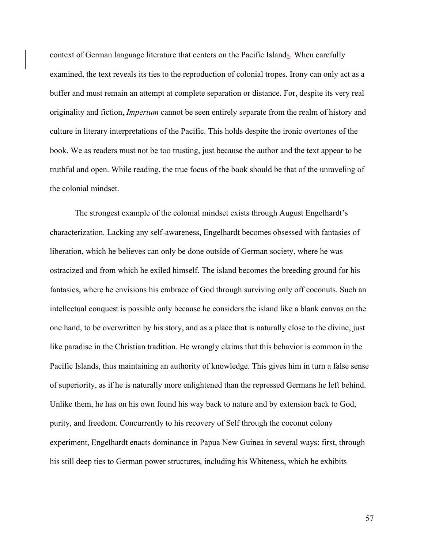context of German language literature that centers on the Pacific Islands. When carefully examined, the text reveals its ties to the reproduction of colonial tropes. Irony can only act as a buffer and must remain an attempt at complete separation or distance. For, despite its very real originality and fiction, *Imperium* cannot be seen entirely separate from the realm of history and culture in literary interpretations of the Pacific. This holds despite the ironic overtones of the book. We as readers must not be too trusting, just because the author and the text appear to be truthful and open. While reading, the true focus of the book should be that of the unraveling of the colonial mindset.

The strongest example of the colonial mindset exists through August Engelhardt's characterization. Lacking any self-awareness, Engelhardt becomes obsessed with fantasies of liberation, which he believes can only be done outside of German society, where he was ostracized and from which he exiled himself. The island becomes the breeding ground for his fantasies, where he envisions his embrace of God through surviving only off coconuts. Such an intellectual conquest is possible only because he considers the island like a blank canvas on the one hand, to be overwritten by his story, and as a place that is naturally close to the divine, just like paradise in the Christian tradition. He wrongly claims that this behavior is common in the Pacific Islands, thus maintaining an authority of knowledge. This gives him in turn a false sense of superiority, as if he is naturally more enlightened than the repressed Germans he left behind. Unlike them, he has on his own found his way back to nature and by extension back to God, purity, and freedom. Concurrently to his recovery of Self through the coconut colony experiment, Engelhardt enacts dominance in Papua New Guinea in several ways: first, through his still deep ties to German power structures, including his Whiteness, which he exhibits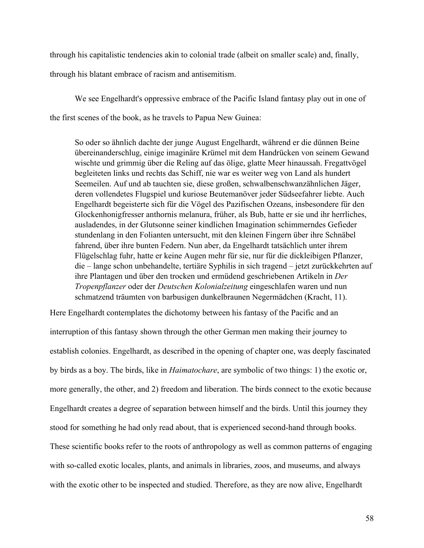through his capitalistic tendencies akin to colonial trade (albeit on smaller scale) and, finally, through his blatant embrace of racism and antisemitism.

We see Engelhardt's oppressive embrace of the Pacific Island fantasy play out in one of the first scenes of the book, as he travels to Papua New Guinea:

So oder so ähnlich dachte der junge August Engelhardt, während er die dünnen Beine übereinanderschlug, einige imaginäre Krümel mit dem Handrücken von seinem Gewand wischte und grimmig über die Reling auf das ölige, glatte Meer hinaussah. Fregattvögel begleiteten links und rechts das Schiff, nie war es weiter weg von Land als hundert Seemeilen. Auf und ab tauchten sie, diese großen, schwalbenschwanzähnlichen Jäger, deren vollendetes Flugspiel und kuriose Beutemanöver jeder Südseefahrer liebte. Auch Engelhardt begeisterte sich für die Vögel des Pazifischen Ozeans, insbesondere für den Glockenhonigfresser anthornis melanura, früher, als Bub, hatte er sie und ihr herrliches, ausladendes, in der Glutsonne seiner kindlichen Imagination schimmerndes Gefieder stundenlang in den Folianten untersucht, mit den kleinen Fingern über ihre Schnäbel fahrend, über ihre bunten Federn. Nun aber, da Engelhardt tatsächlich unter ihrem Flügelschlag fuhr, hatte er keine Augen mehr für sie, nur für die dickleibigen Pflanzer, die – lange schon unbehandelte, tertiäre Syphilis in sich tragend – jetzt zurückkehrten auf ihre Plantagen und über den trocken und ermüdend geschriebenen Artikeln in *Der Tropenpflanzer* oder der *Deutschen Kolonialzeitung* eingeschlafen waren und nun schmatzend träumten von barbusigen dunkelbraunen Negermädchen (Kracht, 11).

Here Engelhardt contemplates the dichotomy between his fantasy of the Pacific and an interruption of this fantasy shown through the other German men making their journey to establish colonies. Engelhardt, as described in the opening of chapter one, was deeply fascinated by birds as a boy. The birds, like in *Haimatochare*, are symbolic of two things: 1) the exotic or, more generally, the other, and 2) freedom and liberation. The birds connect to the exotic because Engelhardt creates a degree of separation between himself and the birds. Until this journey they stood for something he had only read about, that is experienced second-hand through books. These scientific books refer to the roots of anthropology as well as common patterns of engaging with so-called exotic locales, plants, and animals in libraries, zoos, and museums, and always with the exotic other to be inspected and studied. Therefore, as they are now alive, Engelhardt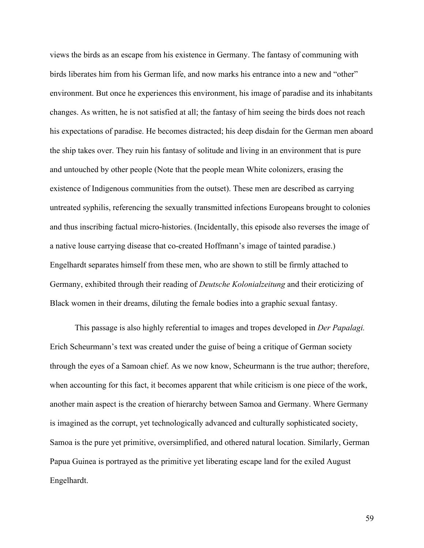views the birds as an escape from his existence in Germany. The fantasy of communing with birds liberates him from his German life, and now marks his entrance into a new and "other" environment. But once he experiences this environment, his image of paradise and its inhabitants changes. As written, he is not satisfied at all; the fantasy of him seeing the birds does not reach his expectations of paradise. He becomes distracted; his deep disdain for the German men aboard the ship takes over. They ruin his fantasy of solitude and living in an environment that is pure and untouched by other people (Note that the people mean White colonizers, erasing the existence of Indigenous communities from the outset). These men are described as carrying untreated syphilis, referencing the sexually transmitted infections Europeans brought to colonies and thus inscribing factual micro-histories. (Incidentally, this episode also reverses the image of a native louse carrying disease that co-created Hoffmann's image of tainted paradise.) Engelhardt separates himself from these men, who are shown to still be firmly attached to Germany, exhibited through their reading of *Deutsche Kolonialzeitung* and their eroticizing of Black women in their dreams, diluting the female bodies into a graphic sexual fantasy.

This passage is also highly referential to images and tropes developed in *Der Papalagi.*  Erich Scheurmann's text was created under the guise of being a critique of German society through the eyes of a Samoan chief. As we now know, Scheurmann is the true author; therefore, when accounting for this fact, it becomes apparent that while criticism is one piece of the work, another main aspect is the creation of hierarchy between Samoa and Germany. Where Germany is imagined as the corrupt, yet technologically advanced and culturally sophisticated society, Samoa is the pure yet primitive, oversimplified, and othered natural location. Similarly, German Papua Guinea is portrayed as the primitive yet liberating escape land for the exiled August Engelhardt.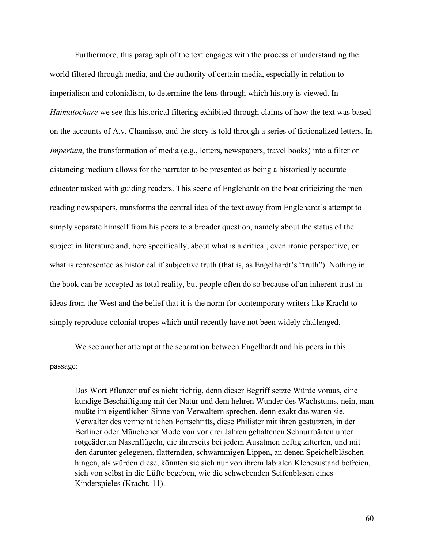Furthermore, this paragraph of the text engages with the process of understanding the world filtered through media, and the authority of certain media, especially in relation to imperialism and colonialism, to determine the lens through which history is viewed. In *Haimatochare* we see this historical filtering exhibited through claims of how the text was based on the accounts of A.v. Chamisso, and the story is told through a series of fictionalized letters. In *Imperium*, the transformation of media (e.g., letters, newspapers, travel books) into a filter or distancing medium allows for the narrator to be presented as being a historically accurate educator tasked with guiding readers. This scene of Englehardt on the boat criticizing the men reading newspapers, transforms the central idea of the text away from Englehardt's attempt to simply separate himself from his peers to a broader question, namely about the status of the subject in literature and, here specifically, about what is a critical, even ironic perspective, or what is represented as historical if subjective truth (that is, as Engelhardt's "truth"). Nothing in the book can be accepted as total reality, but people often do so because of an inherent trust in ideas from the West and the belief that it is the norm for contemporary writers like Kracht to simply reproduce colonial tropes which until recently have not been widely challenged.

We see another attempt at the separation between Engelhardt and his peers in this passage:

Das Wort Pflanzer traf es nicht richtig, denn dieser Begriff setzte Würde voraus, eine kundige Beschäftigung mit der Natur und dem hehren Wunder des Wachstums, nein, man mußte im eigentlichen Sinne von Verwaltern sprechen, denn exakt das waren sie, Verwalter des vermeintlichen Fortschritts, diese Philister mit ihren gestutzten, in der Berliner oder Münchener Mode von vor drei Jahren gehaltenen Schnurrbärten unter rotgeäderten Nasenflügeln, die ihrerseits bei jedem Ausatmen heftig zitterten, und mit den darunter gelegenen, flatternden, schwammigen Lippen, an denen Speichelbläschen hingen, als würden diese, könnten sie sich nur von ihrem labialen Klebezustand befreien, sich von selbst in die Lüfte begeben, wie die schwebenden Seifenblasen eines Kinderspieles (Kracht, 11).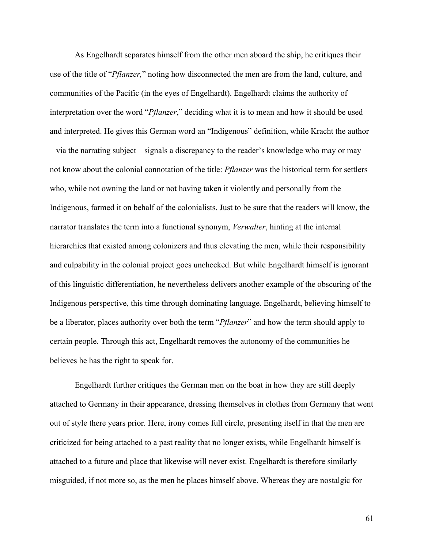As Engelhardt separates himself from the other men aboard the ship, he critiques their use of the title of "*Pflanzer,*" noting how disconnected the men are from the land, culture, and communities of the Pacific (in the eyes of Engelhardt). Engelhardt claims the authority of interpretation over the word "*Pflanzer*," deciding what it is to mean and how it should be used and interpreted. He gives this German word an "Indigenous" definition, while Kracht the author – via the narrating subject – signals a discrepancy to the reader's knowledge who may or may not know about the colonial connotation of the title: *Pflanzer* was the historical term for settlers who, while not owning the land or not having taken it violently and personally from the Indigenous, farmed it on behalf of the colonialists. Just to be sure that the readers will know, the narrator translates the term into a functional synonym, *Verwalter*, hinting at the internal hierarchies that existed among colonizers and thus elevating the men, while their responsibility and culpability in the colonial project goes unchecked. But while Engelhardt himself is ignorant of this linguistic differentiation, he nevertheless delivers another example of the obscuring of the Indigenous perspective, this time through dominating language. Engelhardt, believing himself to be a liberator, places authority over both the term "*Pflanzer*" and how the term should apply to certain people. Through this act, Engelhardt removes the autonomy of the communities he believes he has the right to speak for.

Engelhardt further critiques the German men on the boat in how they are still deeply attached to Germany in their appearance, dressing themselves in clothes from Germany that went out of style there years prior. Here, irony comes full circle, presenting itself in that the men are criticized for being attached to a past reality that no longer exists, while Engelhardt himself is attached to a future and place that likewise will never exist. Engelhardt is therefore similarly misguided, if not more so, as the men he places himself above. Whereas they are nostalgic for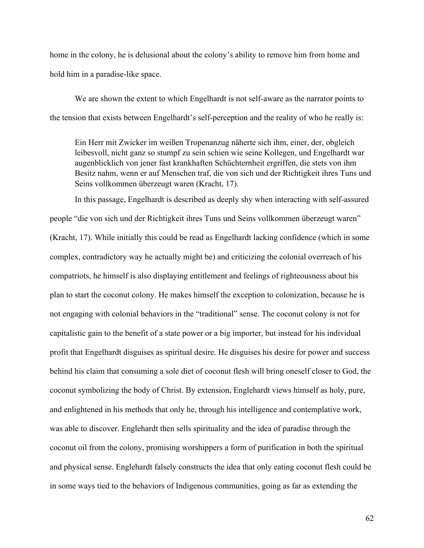home in the colony, he is delusional about the colony's ability to remove him from home and hold him in a paradise-like space.

We are shown the extent to which Engelhardt is not self-aware as the narrator points to the tension that exists between Engelhardt's self-perception and the reality of who he really is:

Ein Herr mit Zwicker im weißen Tropenanzug näherte sich ihm, einer, der, obgleich leibesvoll, nicht ganz so stumpf zu sein schien wie seine Kollegen, und Engelhardt war augenblicklich von jener fast krankhaften Schüchternheit ergriffen, die stets von ihm Besitz nahm, wenn er auf Menschen traf, die von sich und der Richtigkeit ihres Tuns und Seins vollkommen überzeugt waren (Kracht, 17).

In this passage, Engelhardt is described as deeply shy when interacting with self-assured people "die von sich und der Richtigkeit ihres Tuns und Seins vollkommen überzeugt waren" (Kracht, 17). While initially this could be read as Engelhardt lacking confidence (which in some complex, contradictory way he actually might be) and criticizing the colonial overreach of his compatriots, he himself is also displaying entitlement and feelings of righteousness about his plan to start the coconut colony. He makes himself the exception to colonization, because he is not engaging with colonial behaviors in the "traditional" sense. The coconut colony is not for capitalistic gain to the benefit of a state power or a big importer, but instead for his individual profit that Engelhardt disguises as spiritual desire. He disguises his desire for power and success behind his claim that consuming a sole diet of coconut flesh will bring oneself closer to God, the coconut symbolizing the body of Christ. By extension, Englehardt views himself as holy, pure, and enlightened in his methods that only he, through his intelligence and contemplative work, was able to discover. Englehardt then sells spirituality and the idea of paradise through the coconut oil from the colony, promising worshippers a form of purification in both the spiritual and physical sense. Englehardt falsely constructs the idea that only eating coconut flesh could be in some ways tied to the behaviors of Indigenous communities, going as far as extending the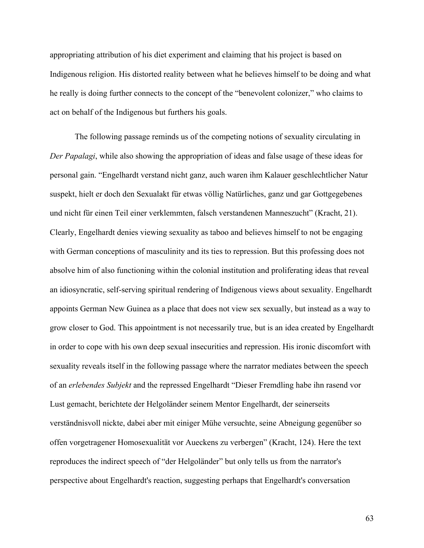appropriating attribution of his diet experiment and claiming that his project is based on Indigenous religion. His distorted reality between what he believes himself to be doing and what he really is doing further connects to the concept of the "benevolent colonizer," who claims to act on behalf of the Indigenous but furthers his goals.

The following passage reminds us of the competing notions of sexuality circulating in *Der Papalagi*, while also showing the appropriation of ideas and false usage of these ideas for personal gain. "Engelhardt verstand nicht ganz, auch waren ihm Kalauer geschlechtlicher Natur suspekt, hielt er doch den Sexualakt für etwas völlig Natürliches, ganz und gar Gottgegebenes und nicht für einen Teil einer verklemmten, falsch verstandenen Manneszucht" (Kracht, 21). Clearly, Engelhardt denies viewing sexuality as taboo and believes himself to not be engaging with German conceptions of masculinity and its ties to repression. But this professing does not absolve him of also functioning within the colonial institution and proliferating ideas that reveal an idiosyncratic, self-serving spiritual rendering of Indigenous views about sexuality. Engelhardt appoints German New Guinea as a place that does not view sex sexually, but instead as a way to grow closer to God. This appointment is not necessarily true, but is an idea created by Engelhardt in order to cope with his own deep sexual insecurities and repression. His ironic discomfort with sexuality reveals itself in the following passage where the narrator mediates between the speech of an *erlebendes Subjekt* and the repressed Engelhardt "Dieser Fremdling habe ihn rasend vor Lust gemacht, berichtete der Helgoländer seinem Mentor Engelhardt, der seinerseits verständnisvoll nickte, dabei aber mit einiger Mühe versuchte, seine Abneigung gegenüber so offen vorgetragener Homosexualität vor Aueckens zu verbergen" (Kracht, 124). Here the text reproduces the indirect speech of "der Helgoländer" but only tells us from the narrator's perspective about Engelhardt's reaction, suggesting perhaps that Engelhardt's conversation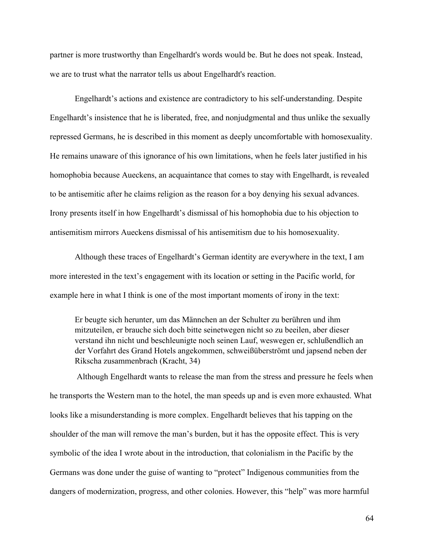partner is more trustworthy than Engelhardt's words would be. But he does not speak. Instead, we are to trust what the narrator tells us about Engelhardt's reaction.

Engelhardt's actions and existence are contradictory to his self-understanding. Despite Engelhardt's insistence that he is liberated, free, and nonjudgmental and thus unlike the sexually repressed Germans, he is described in this moment as deeply uncomfortable with homosexuality. He remains unaware of this ignorance of his own limitations, when he feels later justified in his homophobia because Aueckens, an acquaintance that comes to stay with Engelhardt, is revealed to be antisemitic after he claims religion as the reason for a boy denying his sexual advances. Irony presents itself in how Engelhardt's dismissal of his homophobia due to his objection to antisemitism mirrors Aueckens dismissal of his antisemitism due to his homosexuality.

Although these traces of Engelhardt's German identity are everywhere in the text, I am more interested in the text's engagement with its location or setting in the Pacific world, for example here in what I think is one of the most important moments of irony in the text:

Er beugte sich herunter, um das Männchen an der Schulter zu berühren und ihm mitzuteilen, er brauche sich doch bitte seinetwegen nicht so zu beeilen, aber dieser verstand ihn nicht und beschleunigte noch seinen Lauf, weswegen er, schlußendlich an der Vorfahrt des Grand Hotels angekommen, schweißüberströmt und japsend neben der Rikscha zusammenbrach (Kracht, 34)

Although Engelhardt wants to release the man from the stress and pressure he feels when he transports the Western man to the hotel, the man speeds up and is even more exhausted. What looks like a misunderstanding is more complex. Engelhardt believes that his tapping on the shoulder of the man will remove the man's burden, but it has the opposite effect. This is very symbolic of the idea I wrote about in the introduction, that colonialism in the Pacific by the Germans was done under the guise of wanting to "protect" Indigenous communities from the dangers of modernization, progress, and other colonies. However, this "help" was more harmful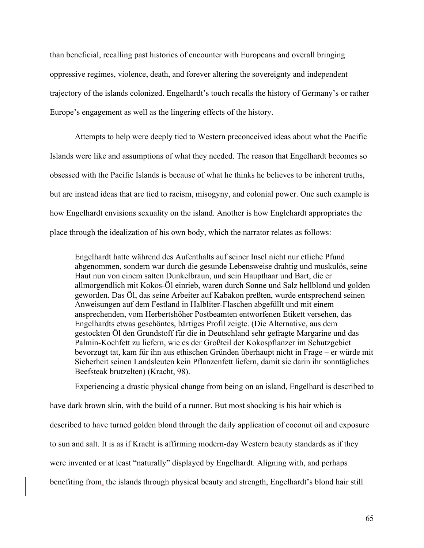than beneficial, recalling past histories of encounter with Europeans and overall bringing oppressive regimes, violence, death, and forever altering the sovereignty and independent trajectory of the islands colonized. Engelhardt's touch recalls the history of Germany's or rather Europe's engagement as well as the lingering effects of the history.

Attempts to help were deeply tied to Western preconceived ideas about what the Pacific Islands were like and assumptions of what they needed. The reason that Engelhardt becomes so obsessed with the Pacific Islands is because of what he thinks he believes to be inherent truths, but are instead ideas that are tied to racism, misogyny, and colonial power. One such example is how Engelhardt envisions sexuality on the island. Another is how Englehardt appropriates the place through the idealization of his own body, which the narrator relates as follows:

Engelhardt hatte während des Aufenthalts auf seiner Insel nicht nur etliche Pfund abgenommen, sondern war durch die gesunde Lebensweise drahtig und muskulös, seine Haut nun von einem satten Dunkelbraun, und sein Haupthaar und Bart, die er allmorgendlich mit Kokos-Öl einrieb, waren durch Sonne und Salz hellblond und golden geworden. Das Öl, das seine Arbeiter auf Kabakon preßten, wurde entsprechend seinen Anweisungen auf dem Festland in Halbliter-Flaschen abgefüllt und mit einem ansprechenden, vom Herbertshöher Postbeamten entworfenen Etikett versehen, das Engelhardts etwas geschöntes, bärtiges Profil zeigte. (Die Alternative, aus dem gestockten Öl den Grundstoff für die in Deutschland sehr gefragte Margarine und das Palmin-Kochfett zu liefern, wie es der Großteil der Kokospflanzer im Schutzgebiet bevorzugt tat, kam für ihn aus ethischen Gründen überhaupt nicht in Frage – er würde mit Sicherheit seinen Landsleuten kein Pflanzenfett liefern, damit sie darin ihr sonntägliches Beefsteak brutzelten) (Kracht, 98).

Experiencing a drastic physical change from being on an island, Engelhard is described to have dark brown skin, with the build of a runner. But most shocking is his hair which is described to have turned golden blond through the daily application of coconut oil and exposure to sun and salt. It is as if Kracht is affirming modern-day Western beauty standards as if they were invented or at least "naturally" displayed by Engelhardt. Aligning with, and perhaps benefiting from, the islands through physical beauty and strength, Engelhardt's blond hair still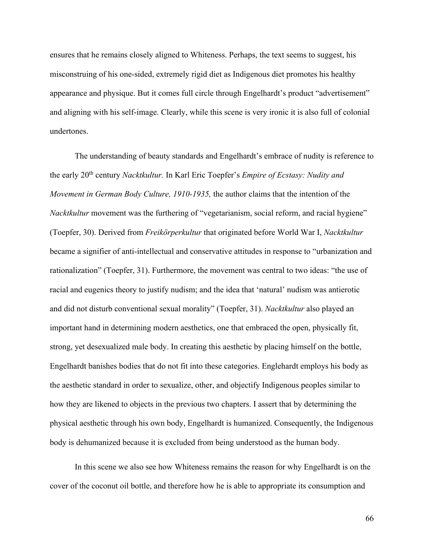ensures that he remains closely aligned to Whiteness. Perhaps, the text seems to suggest, his misconstruing of his one-sided, extremely rigid diet as Indigenous diet promotes his healthy appearance and physique. But it comes full circle through Engelhardt's product "advertisement" and aligning with his self-image. Clearly, while this scene is very ironic it is also full of colonial undertones.

The understanding of beauty standards and Engelhardt's embrace of nudity is reference to the early 20th century *Nacktkultur.* In Karl Eric Toepfer's *Empire of Ecstasy: Nudity and Movement in German Body Culture, 1910-1935,* the author claims that the intention of the *Nacktkultur* movement was the furthering of "vegetarianism, social reform, and racial hygiene" (Toepfer, 30). Derived from *Freikörperkultur* that originated before World War I, *Nacktkultur*  became a signifier of anti-intellectual and conservative attitudes in response to "urbanization and rationalization" (Toepfer, 31). Furthermore, the movement was central to two ideas: "the use of racial and eugenics theory to justify nudism; and the idea that 'natural' nudism was antierotic and did not disturb conventional sexual morality" (Toepfer, 31). *Nacktkultur* also played an important hand in determining modern aesthetics, one that embraced the open, physically fit, strong, yet desexualized male body. In creating this aesthetic by placing himself on the bottle, Engelhardt banishes bodies that do not fit into these categories. Englehardt employs his body as the aesthetic standard in order to sexualize, other, and objectify Indigenous peoples similar to how they are likened to objects in the previous two chapters. I assert that by determining the physical aesthetic through his own body, Engelhardt is humanized. Consequently, the Indigenous body is dehumanized because it is excluded from being understood as the human body.

In this scene we also see how Whiteness remains the reason for why Engelhardt is on the cover of the coconut oil bottle, and therefore how he is able to appropriate its consumption and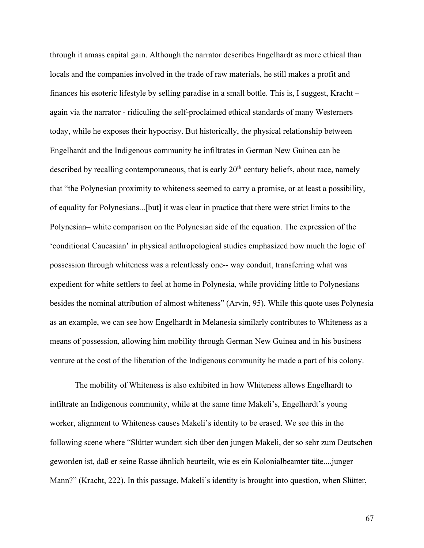through it amass capital gain. Although the narrator describes Engelhardt as more ethical than locals and the companies involved in the trade of raw materials, he still makes a profit and finances his esoteric lifestyle by selling paradise in a small bottle. This is, I suggest, Kracht – again via the narrator - ridiculing the self-proclaimed ethical standards of many Westerners today, while he exposes their hypocrisy. But historically, the physical relationship between Engelhardt and the Indigenous community he infiltrates in German New Guinea can be described by recalling contemporaneous, that is early 20<sup>th</sup> century beliefs, about race, namely that "the Polynesian proximity to whiteness seemed to carry a promise, or at least a possibility, of equality for Polynesians...[but] it was clear in practice that there were strict limits to the Polynesian– white comparison on the Polynesian side of the equation. The expression of the 'conditional Caucasian' in physical anthropological studies emphasized how much the logic of possession through whiteness was a relentlessly one-- way conduit, transferring what was expedient for white settlers to feel at home in Polynesia, while providing little to Polynesians besides the nominal attribution of almost whiteness" (Arvin, 95). While this quote uses Polynesia as an example, we can see how Engelhardt in Melanesia similarly contributes to Whiteness as a means of possession, allowing him mobility through German New Guinea and in his business venture at the cost of the liberation of the Indigenous community he made a part of his colony.

The mobility of Whiteness is also exhibited in how Whiteness allows Engelhardt to infiltrate an Indigenous community, while at the same time Makeli's, Engelhardt's young worker, alignment to Whiteness causes Makeli's identity to be erased. We see this in the following scene where "Slütter wundert sich über den jungen Makeli, der so sehr zum Deutschen geworden ist, daß er seine Rasse ähnlich beurteilt, wie es ein Kolonialbeamter täte....junger Mann?" (Kracht, 222). In this passage, Makeli's identity is brought into question, when Slütter,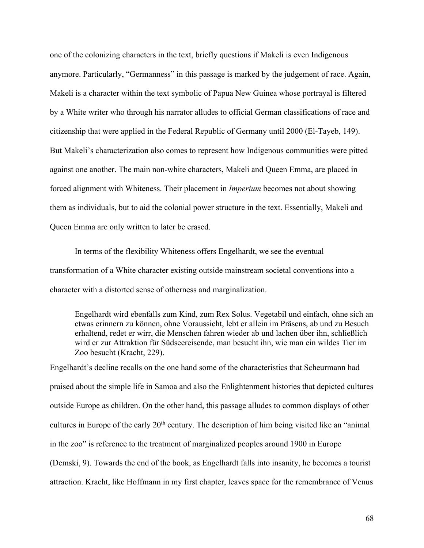one of the colonizing characters in the text, briefly questions if Makeli is even Indigenous anymore. Particularly, "Germanness" in this passage is marked by the judgement of race. Again, Makeli is a character within the text symbolic of Papua New Guinea whose portrayal is filtered by a White writer who through his narrator alludes to official German classifications of race and citizenship that were applied in the Federal Republic of Germany until 2000 (El-Tayeb, 149). But Makeli's characterization also comes to represent how Indigenous communities were pitted against one another. The main non-white characters, Makeli and Queen Emma, are placed in forced alignment with Whiteness. Their placement in *Imperium* becomes not about showing them as individuals, but to aid the colonial power structure in the text. Essentially, Makeli and Queen Emma are only written to later be erased.

In terms of the flexibility Whiteness offers Engelhardt, we see the eventual transformation of a White character existing outside mainstream societal conventions into a character with a distorted sense of otherness and marginalization.

Engelhardt wird ebenfalls zum Kind, zum Rex Solus. Vegetabil und einfach, ohne sich an etwas erinnern zu können, ohne Voraussicht, lebt er allein im Präsens, ab und zu Besuch erhaltend, redet er wirr, die Menschen fahren wieder ab und lachen über ihn, schließlich wird er zur Attraktion für Südseereisende, man besucht ihn, wie man ein wildes Tier im Zoo besucht (Kracht, 229).

Engelhardt's decline recalls on the one hand some of the characteristics that Scheurmann had praised about the simple life in Samoa and also the Enlightenment histories that depicted cultures outside Europe as children. On the other hand, this passage alludes to common displays of other cultures in Europe of the early 20<sup>th</sup> century. The description of him being visited like an "animal" in the zoo" is reference to the treatment of marginalized peoples around 1900 in Europe (Demski, 9). Towards the end of the book, as Engelhardt falls into insanity, he becomes a tourist attraction. Kracht, like Hoffmann in my first chapter, leaves space for the remembrance of Venus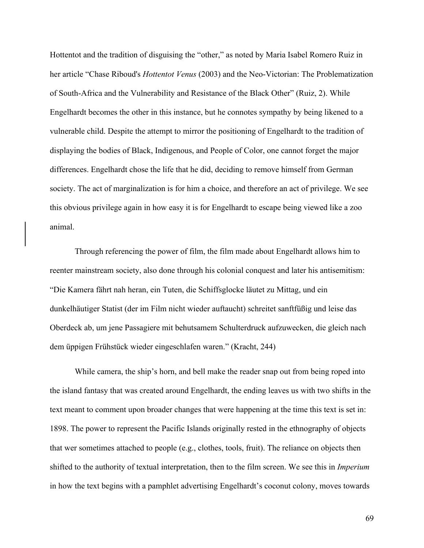Hottentot and the tradition of disguising the "other," as noted by Maria Isabel Romero Ruiz in her article "Chase Riboud's *Hottentot Venus* (2003) and the Neo-Victorian: The Problematization of South-Africa and the Vulnerability and Resistance of the Black Other" (Ruiz, 2). While Engelhardt becomes the other in this instance, but he connotes sympathy by being likened to a vulnerable child. Despite the attempt to mirror the positioning of Engelhardt to the tradition of displaying the bodies of Black, Indigenous, and People of Color, one cannot forget the major differences. Engelhardt chose the life that he did, deciding to remove himself from German society. The act of marginalization is for him a choice, and therefore an act of privilege. We see this obvious privilege again in how easy it is for Engelhardt to escape being viewed like a zoo animal.

Through referencing the power of film, the film made about Engelhardt allows him to reenter mainstream society, also done through his colonial conquest and later his antisemitism: "Die Kamera fährt nah heran, ein Tuten, die Schiffsglocke läutet zu Mittag, und ein dunkelhäutiger Statist (der im Film nicht wieder auftaucht) schreitet sanftfüßig und leise das Oberdeck ab, um jene Passagiere mit behutsamem Schulterdruck aufzuwecken, die gleich nach dem üppigen Frühstück wieder eingeschlafen waren." (Kracht, 244)

While camera, the ship's horn, and bell make the reader snap out from being roped into the island fantasy that was created around Engelhardt, the ending leaves us with two shifts in the text meant to comment upon broader changes that were happening at the time this text is set in: 1898. The power to represent the Pacific Islands originally rested in the ethnography of objects that wer sometimes attached to people (e.g., clothes, tools, fruit). The reliance on objects then shifted to the authority of textual interpretation, then to the film screen. We see this in *Imperium* in how the text begins with a pamphlet advertising Engelhardt's coconut colony, moves towards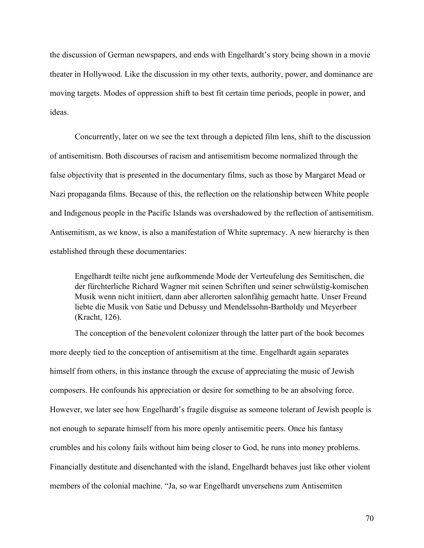the discussion of German newspapers, and ends with Engelhardt's story being shown in a movie theater in Hollywood. Like the discussion in my other texts, authority, power, and dominance are moving targets. Modes of oppression shift to best fit certain time periods, people in power, and ideas.

Concurrently, later on we see the text through a depicted film lens, shift to the discussion of antisemitism. Both discourses of racism and antisemitism become normalized through the false objectivity that is presented in the documentary films, such as those by Margaret Mead or Nazi propaganda films. Because of this, the reflection on the relationship between White people and Indigenous people in the Pacific Islands was overshadowed by the reflection of antisemitism. Antisemitism, as we know, is also a manifestation of White supremacy. A new hierarchy is then established through these documentaries:

Engelhardt teilte nicht jene aufkommende Mode der Verteufelung des Semitischen, die der fürchterliche Richard Wagner mit seinen Schriften und seiner schwülstig-komischen Musik wenn nicht initiiert, dann aber allerorten salonfähig gemacht hatte. Unser Freund liebte die Musik von Satie und Debussy und Mendelssohn-Bartholdy und Meyerbeer (Kracht, 126).

The conception of the benevolent colonizer through the latter part of the book becomes more deeply tied to the conception of antisemitism at the time. Engelhardt again separates himself from others, in this instance through the excuse of appreciating the music of Jewish composers. He confounds his appreciation or desire for something to be an absolving force. However, we later see how Engelhardt's fragile disguise as someone tolerant of Jewish people is not enough to separate himself from his more openly antisemitic peers. Once his fantasy crumbles and his colony fails without him being closer to God, he runs into money problems. Financially destitute and disenchanted with the island, Engelhardt behaves just like other violent members of the colonial machine. "Ja, so war Engelhardt unversehens zum Antisemiten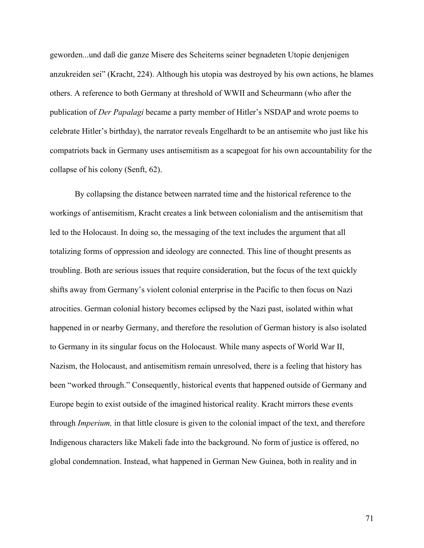geworden...und daß die ganze Misere des Scheiterns seiner begnadeten Utopie denjenigen anzukreiden sei" (Kracht, 224). Although his utopia was destroyed by his own actions, he blames others. A reference to both Germany at threshold of WWII and Scheurmann (who after the publication of *Der Papalagi* became a party member of Hitler's NSDAP and wrote poems to celebrate Hitler's birthday), the narrator reveals Engelhardt to be an antisemite who just like his compatriots back in Germany uses antisemitism as a scapegoat for his own accountability for the collapse of his colony (Senft, 62).

By collapsing the distance between narrated time and the historical reference to the workings of antisemitism, Kracht creates a link between colonialism and the antisemitism that led to the Holocaust. In doing so, the messaging of the text includes the argument that all totalizing forms of oppression and ideology are connected. This line of thought presents as troubling. Both are serious issues that require consideration, but the focus of the text quickly shifts away from Germany's violent colonial enterprise in the Pacific to then focus on Nazi atrocities. German colonial history becomes eclipsed by the Nazi past, isolated within what happened in or nearby Germany, and therefore the resolution of German history is also isolated to Germany in its singular focus on the Holocaust. While many aspects of World War II, Nazism, the Holocaust, and antisemitism remain unresolved, there is a feeling that history has been "worked through." Consequently, historical events that happened outside of Germany and Europe begin to exist outside of the imagined historical reality. Kracht mirrors these events through *Imperium,* in that little closure is given to the colonial impact of the text, and therefore Indigenous characters like Makeli fade into the background. No form of justice is offered, no global condemnation. Instead, what happened in German New Guinea, both in reality and in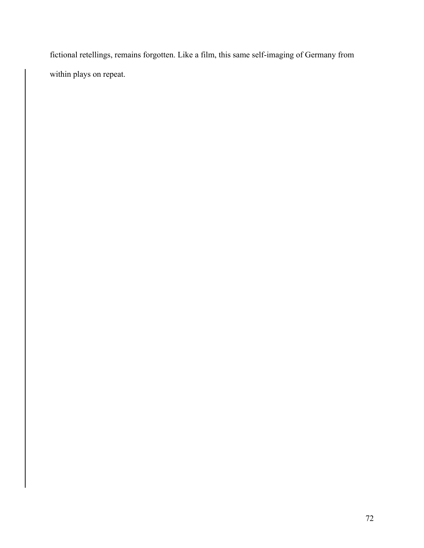fictional retellings, remains forgotten. Like a film, this same self-imaging of Germany from within plays on repeat.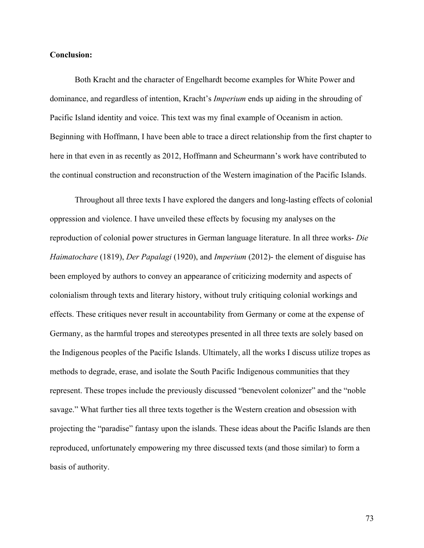## **Conclusion:**

Both Kracht and the character of Engelhardt become examples for White Power and dominance, and regardless of intention, Kracht's *Imperium* ends up aiding in the shrouding of Pacific Island identity and voice. This text was my final example of Oceanism in action. Beginning with Hoffmann, I have been able to trace a direct relationship from the first chapter to here in that even in as recently as 2012, Hoffmann and Scheurmann's work have contributed to the continual construction and reconstruction of the Western imagination of the Pacific Islands.

Throughout all three texts I have explored the dangers and long-lasting effects of colonial oppression and violence. I have unveiled these effects by focusing my analyses on the reproduction of colonial power structures in German language literature. In all three works- *Die Haimatochare* (1819), *Der Papalagi* (1920), and *Imperium* (2012)- the element of disguise has been employed by authors to convey an appearance of criticizing modernity and aspects of colonialism through texts and literary history, without truly critiquing colonial workings and effects. These critiques never result in accountability from Germany or come at the expense of Germany, as the harmful tropes and stereotypes presented in all three texts are solely based on the Indigenous peoples of the Pacific Islands. Ultimately, all the works I discuss utilize tropes as methods to degrade, erase, and isolate the South Pacific Indigenous communities that they represent. These tropes include the previously discussed "benevolent colonizer" and the "noble savage." What further ties all three texts together is the Western creation and obsession with projecting the "paradise" fantasy upon the islands. These ideas about the Pacific Islands are then reproduced, unfortunately empowering my three discussed texts (and those similar) to form a basis of authority.

73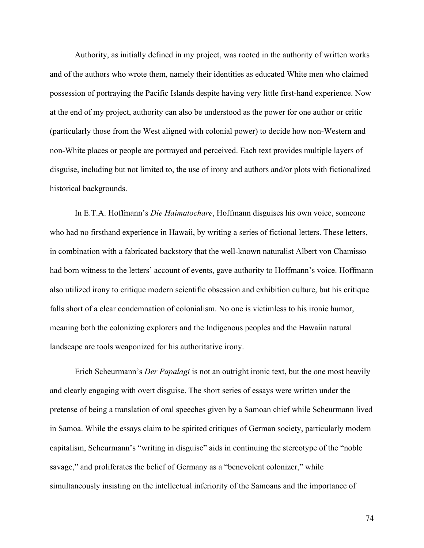Authority, as initially defined in my project, was rooted in the authority of written works and of the authors who wrote them, namely their identities as educated White men who claimed possession of portraying the Pacific Islands despite having very little first-hand experience. Now at the end of my project, authority can also be understood as the power for one author or critic (particularly those from the West aligned with colonial power) to decide how non-Western and non-White places or people are portrayed and perceived. Each text provides multiple layers of disguise, including but not limited to, the use of irony and authors and/or plots with fictionalized historical backgrounds.

In E.T.A. Hoffmann's *Die Haimatochare*, Hoffmann disguises his own voice, someone who had no firsthand experience in Hawaii, by writing a series of fictional letters. These letters, in combination with a fabricated backstory that the well-known naturalist Albert von Chamisso had born witness to the letters' account of events, gave authority to Hoffmann's voice. Hoffmann also utilized irony to critique modern scientific obsession and exhibition culture, but his critique falls short of a clear condemnation of colonialism. No one is victimless to his ironic humor, meaning both the colonizing explorers and the Indigenous peoples and the Hawaiin natural landscape are tools weaponized for his authoritative irony.

Erich Scheurmann's *Der Papalagi* is not an outright ironic text, but the one most heavily and clearly engaging with overt disguise. The short series of essays were written under the pretense of being a translation of oral speeches given by a Samoan chief while Scheurmann lived in Samoa. While the essays claim to be spirited critiques of German society, particularly modern capitalism, Scheurmann's "writing in disguise" aids in continuing the stereotype of the "noble savage," and proliferates the belief of Germany as a "benevolent colonizer," while simultaneously insisting on the intellectual inferiority of the Samoans and the importance of

74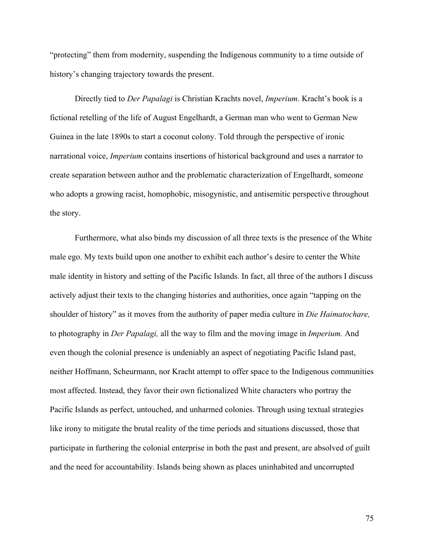"protecting" them from modernity, suspending the Indigenous community to a time outside of history's changing trajectory towards the present.

Directly tied to *Der Papalagi* is Christian Krachts novel, *Imperium*. Kracht's book is a fictional retelling of the life of August Engelhardt, a German man who went to German New Guinea in the late 1890s to start a coconut colony. Told through the perspective of ironic narrational voice, *Imperium* contains insertions of historical background and uses a narrator to create separation between author and the problematic characterization of Engelhardt, someone who adopts a growing racist, homophobic, misogynistic, and antisemitic perspective throughout the story.

Furthermore, what also binds my discussion of all three texts is the presence of the White male ego. My texts build upon one another to exhibit each author's desire to center the White male identity in history and setting of the Pacific Islands. In fact, all three of the authors I discuss actively adjust their texts to the changing histories and authorities, once again "tapping on the shoulder of history" as it moves from the authority of paper media culture in *Die Haimatochare,*  to photography in *Der Papalagi,* all the way to film and the moving image in *Imperium.* And even though the colonial presence is undeniably an aspect of negotiating Pacific Island past, neither Hoffmann, Scheurmann, nor Kracht attempt to offer space to the Indigenous communities most affected. Instead, they favor their own fictionalized White characters who portray the Pacific Islands as perfect, untouched, and unharmed colonies. Through using textual strategies like irony to mitigate the brutal reality of the time periods and situations discussed, those that participate in furthering the colonial enterprise in both the past and present, are absolved of guilt and the need for accountability. Islands being shown as places uninhabited and uncorrupted

75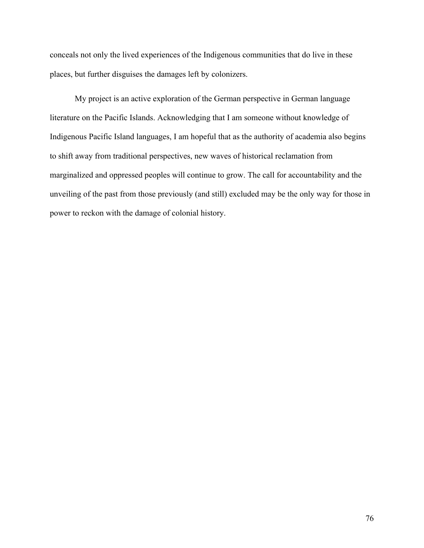conceals not only the lived experiences of the Indigenous communities that do live in these places, but further disguises the damages left by colonizers.

My project is an active exploration of the German perspective in German language literature on the Pacific Islands. Acknowledging that I am someone without knowledge of Indigenous Pacific Island languages, I am hopeful that as the authority of academia also begins to shift away from traditional perspectives, new waves of historical reclamation from marginalized and oppressed peoples will continue to grow. The call for accountability and the unveiling of the past from those previously (and still) excluded may be the only way for those in power to reckon with the damage of colonial history.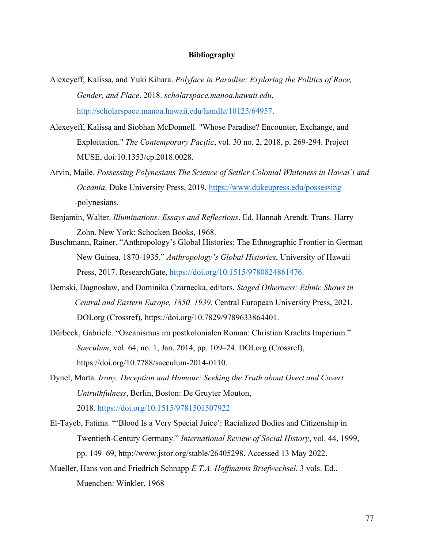## **Bibliography**

- Alexeyeff, Kalissa, and Yuki Kihara. *Polyface in Paradise: Exploring the Politics of Race, Gender, and Place*. 2018. *scholarspace.manoa.hawaii.edu*, http://scholarspace.manoa.hawaii.edu/handle/10125/64957.
- Alexeyeff, Kalissa and Siobhan McDonnell. "Whose Paradise? Encounter, Exchange, and Exploitation." *The Contemporary Pacific*, vol. 30 no. 2, 2018, p. 269-294. Project MUSE, doi:10.1353/cp.2018.0028.
- Arvin, Maile. *Possessing Polynesians The Science of Settler Colonial Whiteness in Hawai`i and Oceania*. Duke University Press, 2019, https://www.dukeupress.edu/possessing -polynesians.
- Benjamin, Walter. *Illuminations: Essays and Reflections*. Ed. Hannah Arendt. Trans. Harry Zohn. New York: Schocken Books, 1968.
- Buschmann, Rainer. "Anthropology's Global Histories: The Ethnographic Frontier in German New Guinea, 1870-1935." *Anthropology's Global Histories*, University of Hawaii Press, 2017. ResearchGate, https://doi.org/10.1515/9780824861476.
- Demski, Dagnosław, and Dominika Czarnecka, editors. *Staged Otherness: Ethnic Shows in Central and Eastern Europe, 1850–1939.* Central European University Press, 2021. DOI.org (Crossref), https://doi.org/10.7829/9789633864401.
- Dürbeck, Gabriele. "Ozeanismus im postkolonialen Roman: Christian Krachts Imperium." *Saeculum*, vol. 64, no. 1, Jan. 2014, pp. 109–24. DOI.org (Crossref), https://doi.org/10.7788/saeculum-2014-0110.
- Dynel, Marta. *Irony, Deception and Humour: Seeking the Truth about Overt and Covert Untruthfulness*, Berlin, Boston: De Gruyter Mouton,

2018. https://doi.org/10.1515/9781501507922

- El-Tayeb, Fatima. "'Blood Is a Very Special Juice': Racialized Bodies and Citizenship in Twentieth-Century Germany." *International Review of Social History*, vol. 44, 1999, pp. 149–69, http://www.jstor.org/stable/26405298. Accessed 13 May 2022.
- Mueller, Hans von and Friedrich Schnapp *E.T.A. Hoffmanns Briefwechsel.* 3 vols. Ed.. Muenchen: Winkler, 1968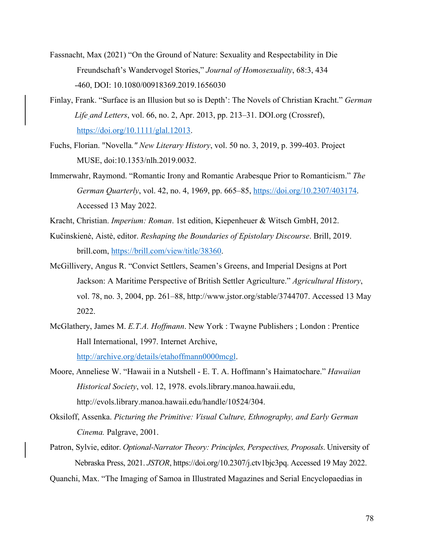- Fassnacht, Max (2021) "On the Ground of Nature: Sexuality and Respectability in Die Freundschaft's Wandervogel Stories," *Journal of Homosexuality*, 68:3, 434 -460, DOI: 10.1080/00918369.2019.1656030
- Finlay, Frank. "Surface is an Illusion but so is Depth': The Novels of Christian Kracht." *German Life and Letters*, vol. 66, no. 2, Apr. 2013, pp. 213–31. DOI.org (Crossref), https://doi.org/10.1111/glal.12013.
- Fuchs, Florian. "Novella*." New Literary History*, vol. 50 no. 3, 2019, p. 399-403. Project MUSE, doi:10.1353/nlh.2019.0032.
- Immerwahr, Raymond. "Romantic Irony and Romantic Arabesque Prior to Romanticism." *The German Quarterly*, vol. 42, no. 4, 1969, pp. 665–85, https://doi.org/10.2307/403174. Accessed 13 May 2022.
- Kracht, Christian. *Imperium: Roman*. 1st edition, Kiepenheuer & Witsch GmbH, 2012.
- Kučinskienė, Aistė, editor. *Reshaping the Boundaries of Epistolary Discourse*. Brill, 2019. brill.com, https://brill.com/view/title/38360.
- McGillivery, Angus R. "Convict Settlers, Seamen's Greens, and Imperial Designs at Port Jackson: A Maritime Perspective of British Settler Agriculture." *Agricultural History*, vol. 78, no. 3, 2004, pp. 261–88, http://www.jstor.org/stable/3744707. Accessed 13 May 2022.
- McGlathery, James M. *E.T.A. Hoffmann*. New York : Twayne Publishers ; London : Prentice Hall International, 1997. Internet Archive, http://archive.org/details/etahoffmann0000mcgl.
- Moore, Anneliese W. "Hawaii in a Nutshell E. T. A. Hoffmann's Haimatochare." *Hawaiian Historical Society*, vol. 12, 1978. evols.library.manoa.hawaii.edu, http://evols.library.manoa.hawaii.edu/handle/10524/304.
- Oksiloff, Assenka. *Picturing the Primitive: Visual Culture, Ethnography, and Early German Cinema.* Palgrave, 2001.
- Patron, Sylvie, editor. *Optional-Narrator Theory: Principles, Perspectives, Proposals*. University of Nebraska Press, 2021. *JSTOR*, https://doi.org/10.2307/j.ctv1bjc3pq. Accessed 19 May 2022.
- Quanchi, Max. "The Imaging of Samoa in Illustrated Magazines and Serial Encyclopaedias in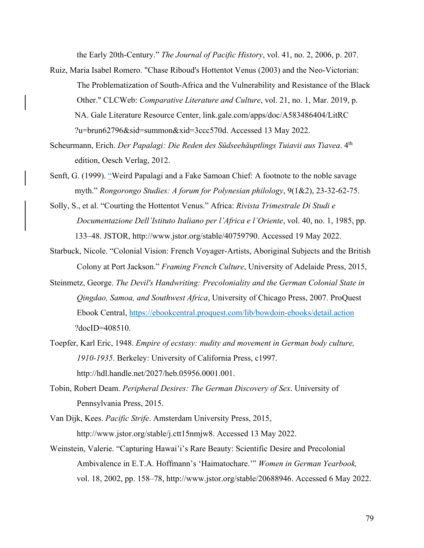the Early 20th-Century." *The Journal of Pacific History*, vol. 41, no. 2, 2006, p. 207.

- Ruiz, Maria Isabel Romero. "Chase Riboud's Hottentot Venus (2003) and the Neo-Victorian: The Problematization of South-Africa and the Vulnerability and Resistance of the Black Other." CLCWeb: *Comparative Literature and Culture*, vol. 21, no. 1, Mar. 2019, p. NA. Gale Literature Resource Center, link.gale.com/apps/doc/A583486404/LitRC ?u=brun62796&sid=summon&xid=3ccc570d. Accessed 13 May 2022.
- Scheurmann, Erich. *Der Papalagi: Die Reden des Südseehäuptlings Tuiavii aus Tiavea*. 4th edition, Oesch Verlag, 2012.
- Senft, G. (1999). "Weird Papalagi and a Fake Samoan Chief: A footnote to the noble savage myth." *Rongorongo Studies: A forum for Polynesian philology*, 9(1&2), 23-32-62-75.
- Solly, S., et al. "Courting the Hottentot Venus." Africa: *Rivista Trimestrale Di Studi e Documentazione Dell'Istituto Italiano per l'Africa e l'Oriente*, vol. 40, no. 1, 1985, pp. 133–48. JSTOR, http://www.jstor.org/stable/40759790. Accessed 19 May 2022.
- Starbuck, Nicole. "Colonial Vision: French Voyager-Artists, Aboriginal Subjects and the British Colony at Port Jackson." *Framing French Culture*, University of Adelaide Press, 2015,
- Steinmetz, George. *The Devil's Handwriting: Precoloniality and the German Colonial State in Qingdao, Samoa, and Southwest Africa*, University of Chicago Press, 2007. ProQuest Ebook Central, https://ebookcentral.proquest.com/lib/bowdoin-ebooks/detail.action ?docID=408510.
- Toepfer, Karl Eric, 1948. *Empire of ecstasy: nudity and movement in German body culture, 1910-1935*. Berkeley: University of California Press, c1997. http://hdl.handle.net/2027/heb.05956.0001.001.
- Tobin, Robert Deam. *Peripheral Desires: The German Discovery of Sex*. University of Pennsylvania Press, 2015.
- Van Dijk, Kees. *Pacific Strife*. Amsterdam University Press, 2015, http://www.jstor.org/stable/j.ctt15nmjw8. Accessed 13 May 2022.
- Weinstein, Valerie. "Capturing Hawai'i's Rare Beauty: Scientific Desire and Precolonial Ambivalence in E.T.A. Hoffmann's 'Haimatochare.'" *Women in German Yearbook,* vol. 18, 2002, pp. 158–78, http://www.jstor.org/stable/20688946. Accessed 6 May 2022.